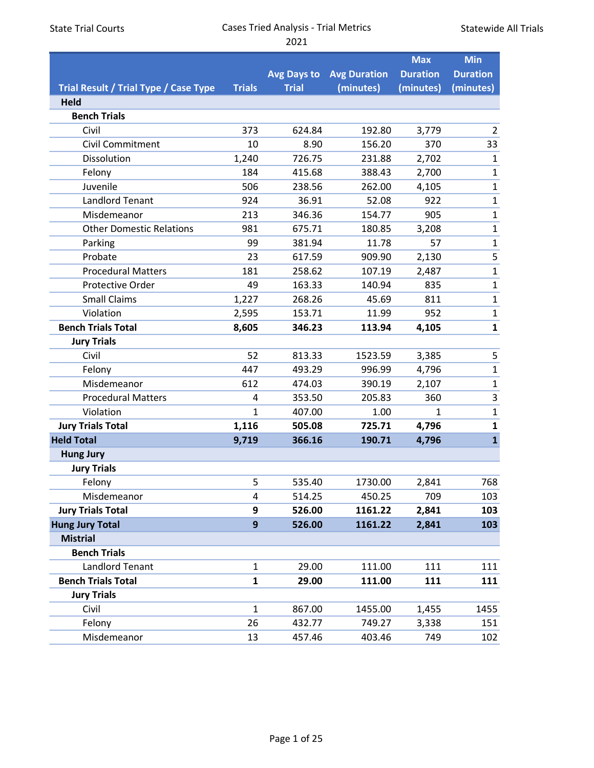| <b>State Trial Courts</b> |  |
|---------------------------|--|
|---------------------------|--|

Statewide All Trials

|                                       |                  |                    |                     | <b>Max</b>      | <b>Min</b>      |
|---------------------------------------|------------------|--------------------|---------------------|-----------------|-----------------|
|                                       |                  | <b>Avg Days to</b> | <b>Avg Duration</b> | <b>Duration</b> | <b>Duration</b> |
| Trial Result / Trial Type / Case Type | <b>Trials</b>    | <b>Trial</b>       | (minutes)           | (minutes)       | (minutes)       |
| Held                                  |                  |                    |                     |                 |                 |
| <b>Bench Trials</b>                   |                  |                    |                     |                 |                 |
| Civil                                 | 373              | 624.84             | 192.80              | 3,779           | $\overline{2}$  |
| Civil Commitment                      | 10               | 8.90               | 156.20              | 370             | 33              |
| Dissolution                           | 1,240            | 726.75             | 231.88              | 2,702           | $\mathbf{1}$    |
| Felony                                | 184              | 415.68             | 388.43              | 2,700           | $\mathbf{1}$    |
| Juvenile                              | 506              | 238.56             | 262.00              | 4,105           | $\mathbf{1}$    |
| <b>Landlord Tenant</b>                | 924              | 36.91              | 52.08               | 922             | $\mathbf{1}$    |
| Misdemeanor                           | 213              | 346.36             | 154.77              | 905             | $\mathbf{1}$    |
| <b>Other Domestic Relations</b>       | 981              | 675.71             | 180.85              | 3,208           | $\mathbf 1$     |
| Parking                               | 99               | 381.94             | 11.78               | 57              | $\mathbf{1}$    |
| Probate                               | 23               | 617.59             | 909.90              | 2,130           | 5               |
| <b>Procedural Matters</b>             | 181              | 258.62             | 107.19              | 2,487           | $\mathbf{1}$    |
| <b>Protective Order</b>               | 49               | 163.33             | 140.94              | 835             | $\mathbf{1}$    |
| <b>Small Claims</b>                   | 1,227            | 268.26             | 45.69               | 811             | $\mathbf{1}$    |
| Violation                             | 2,595            | 153.71             | 11.99               | 952             | $\mathbf{1}$    |
| <b>Bench Trials Total</b>             | 8,605            | 346.23             | 113.94              | 4,105           | $\mathbf{1}$    |
| <b>Jury Trials</b>                    |                  |                    |                     |                 |                 |
| Civil                                 | 52               | 813.33             | 1523.59             | 3,385           | 5               |
| Felony                                | 447              | 493.29             | 996.99              | 4,796           | $\mathbf{1}$    |
| Misdemeanor                           | 612              | 474.03             | 390.19              | 2,107           | $\mathbf{1}$    |
| <b>Procedural Matters</b>             | 4                | 353.50             | 205.83              | 360             | 3               |
| Violation                             | $\mathbf{1}$     | 407.00             | 1.00                | $\mathbf{1}$    | $\mathbf{1}$    |
| <b>Jury Trials Total</b>              | 1,116            | 505.08             | 725.71              | 4,796           | $\mathbf{1}$    |
| <b>Held Total</b>                     | 9,719            | 366.16             | 190.71              | 4,796           | $\mathbf{1}$    |
| <b>Hung Jury</b>                      |                  |                    |                     |                 |                 |
| <b>Jury Trials</b>                    |                  |                    |                     |                 |                 |
| Felony                                | 5                | 535.40             | 1730.00             | 2,841           | 768             |
| Misdemeanor                           | 4                | 514.25             | 450.25              | 709             | 103             |
| <b>Jury Trials Total</b>              | 9                | 526.00             | 1161.22             | 2,841           | 103             |
| <b>Hung Jury Total</b>                | $\boldsymbol{9}$ | 526.00             | 1161.22             | 2,841           | 103             |
| <b>Mistrial</b>                       |                  |                    |                     |                 |                 |
| <b>Bench Trials</b>                   |                  |                    |                     |                 |                 |
| <b>Landlord Tenant</b>                | $\mathbf{1}$     | 29.00              | 111.00              | 111             | 111             |
| <b>Bench Trials Total</b>             | $\mathbf{1}$     | 29.00              | 111.00              | 111             | 111             |
| <b>Jury Trials</b>                    |                  |                    |                     |                 |                 |
| Civil                                 | $\mathbf{1}$     | 867.00             | 1455.00             | 1,455           | 1455            |
| Felony                                | 26               | 432.77             | 749.27              | 3,338           | 151             |
| Misdemeanor                           | 13               | 457.46             | 403.46              | 749             | 102             |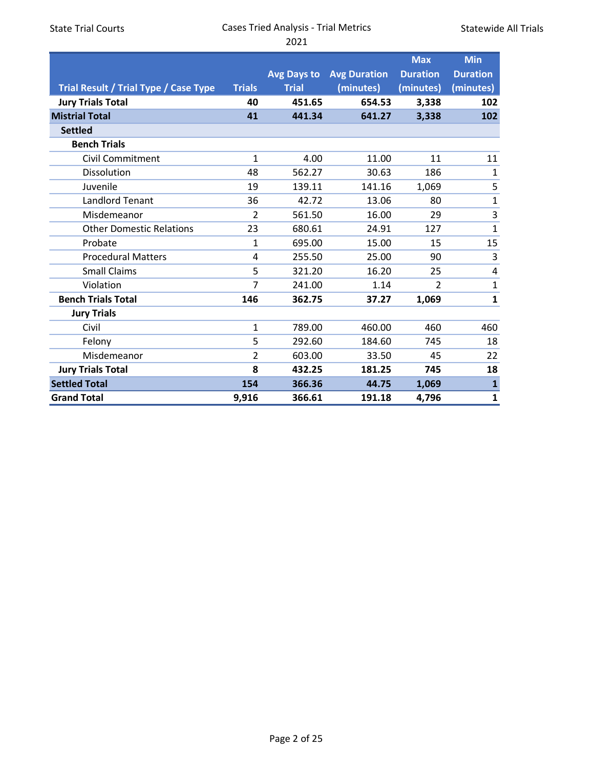Statewide All Trials

|                                       |                |              |                     | <b>Max</b>      | <b>Min</b>      |
|---------------------------------------|----------------|--------------|---------------------|-----------------|-----------------|
|                                       |                | Avg Days to  | <b>Avg Duration</b> | <b>Duration</b> | <b>Duration</b> |
| Trial Result / Trial Type / Case Type | <b>Trials</b>  | <b>Trial</b> | (minutes)           | (minutes)       | (minutes)       |
| <b>Jury Trials Total</b>              | 40             | 451.65       | 654.53              | 3,338           | 102             |
| <b>Mistrial Total</b>                 | 41             | 441.34       | 641.27              | 3,338           | 102             |
| <b>Settled</b>                        |                |              |                     |                 |                 |
| <b>Bench Trials</b>                   |                |              |                     |                 |                 |
| <b>Civil Commitment</b>               | $\mathbf{1}$   | 4.00         | 11.00               | 11              | 11              |
| Dissolution                           | 48             | 562.27       | 30.63               | 186             | 1               |
| Juvenile                              | 19             | 139.11       | 141.16              | 1,069           | 5               |
| <b>Landlord Tenant</b>                | 36             | 42.72        | 13.06               | 80              | $\mathbf 1$     |
| Misdemeanor                           | 2              | 561.50       | 16.00               | 29              | 3               |
| <b>Other Domestic Relations</b>       | 23             | 680.61       | 24.91               | 127             | $\mathbf{1}$    |
| Probate                               | $\mathbf{1}$   | 695.00       | 15.00               | 15              | 15              |
| <b>Procedural Matters</b>             | $\overline{4}$ | 255.50       | 25.00               | 90              | 3               |
| <b>Small Claims</b>                   | 5              | 321.20       | 16.20               | 25              | 4               |
| Violation                             | 7              | 241.00       | 1.14                | 2               | $\mathbf 1$     |
| <b>Bench Trials Total</b>             | 146            | 362.75       | 37.27               | 1,069           | 1               |
| <b>Jury Trials</b>                    |                |              |                     |                 |                 |
| Civil                                 | $\mathbf{1}$   | 789.00       | 460.00              | 460             | 460             |
| Felony                                | 5              | 292.60       | 184.60              | 745             | 18              |
| Misdemeanor                           | $\overline{2}$ | 603.00       | 33.50               | 45              | 22              |
| <b>Jury Trials Total</b>              | 8              | 432.25       | 181.25              | 745             | 18              |
| <b>Settled Total</b>                  | 154            | 366.36       | 44.75               | 1,069           | $\mathbf{1}$    |
| <b>Grand Total</b>                    | 9,916          | 366.61       | 191.18              | 4,796           | $\mathbf{1}$    |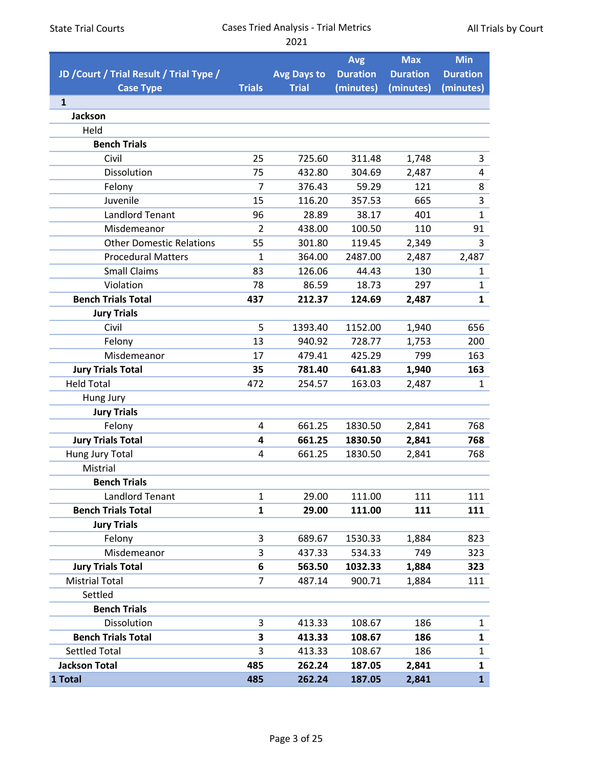|                                          |                |                    | <b>Avg</b>      | <b>Max</b>      | <b>Min</b>      |
|------------------------------------------|----------------|--------------------|-----------------|-----------------|-----------------|
| JD / Court / Trial Result / Trial Type / |                | <b>Avg Days to</b> | <b>Duration</b> | <b>Duration</b> | <b>Duration</b> |
| <b>Case Type</b>                         | <b>Trials</b>  | <b>Trial</b>       | (minutes)       | (minutes)       | (minutes)       |
| $\mathbf{1}$                             |                |                    |                 |                 |                 |
| <b>Jackson</b>                           |                |                    |                 |                 |                 |
| Held                                     |                |                    |                 |                 |                 |
| <b>Bench Trials</b>                      |                |                    |                 |                 |                 |
| Civil                                    | 25             | 725.60             | 311.48          | 1,748           | 3               |
| Dissolution                              | 75             | 432.80             | 304.69          | 2,487           | 4               |
| Felony                                   | 7              | 376.43             | 59.29           | 121             | 8               |
| Juvenile                                 | 15             | 116.20             | 357.53          | 665             | 3               |
| <b>Landlord Tenant</b>                   | 96             | 28.89              | 38.17           | 401             | $\mathbf{1}$    |
| Misdemeanor                              | $\overline{2}$ | 438.00             | 100.50          | 110             | 91              |
| <b>Other Domestic Relations</b>          | 55             | 301.80             | 119.45          | 2,349           | 3               |
| <b>Procedural Matters</b>                | $\mathbf{1}$   | 364.00             | 2487.00         | 2,487           | 2,487           |
| <b>Small Claims</b>                      | 83             | 126.06             | 44.43           | 130             | $\mathbf{1}$    |
| Violation                                | 78             | 86.59              | 18.73           | 297             | $\mathbf 1$     |
| <b>Bench Trials Total</b>                | 437            | 212.37             | 124.69          | 2,487           | $\mathbf{1}$    |
| <b>Jury Trials</b>                       |                |                    |                 |                 |                 |
| Civil                                    | 5              | 1393.40            | 1152.00         | 1,940           | 656             |
| Felony                                   | 13             | 940.92             | 728.77          | 1,753           | 200             |
| Misdemeanor                              | 17             | 479.41             | 425.29          | 799             | 163             |
| <b>Jury Trials Total</b>                 | 35             | 781.40             | 641.83          | 1,940           | 163             |
| <b>Held Total</b>                        | 472            | 254.57             | 163.03          | 2,487           | $\mathbf{1}$    |
| Hung Jury                                |                |                    |                 |                 |                 |
| <b>Jury Trials</b>                       |                |                    |                 |                 |                 |
| Felony                                   | $\overline{4}$ | 661.25             | 1830.50         | 2,841           | 768             |
| <b>Jury Trials Total</b>                 | 4              | 661.25             | 1830.50         | 2,841           | 768             |
| Hung Jury Total                          | 4              | 661.25             | 1830.50         | 2,841           | 768             |
| Mistrial                                 |                |                    |                 |                 |                 |
| <b>Bench Trials</b>                      |                |                    |                 |                 |                 |
| Landlord Tenant                          | $\mathbf{1}$   | 29.00              | 111.00          | 111             | 111             |
| <b>Bench Trials Total</b>                | $\mathbf{1}$   | 29.00              | 111.00          | 111             | 111             |
| <b>Jury Trials</b>                       |                |                    |                 |                 |                 |
| Felony                                   | 3              | 689.67             | 1530.33         | 1,884           | 823             |
| Misdemeanor                              | 3              | 437.33             | 534.33          | 749             | 323             |
| <b>Jury Trials Total</b>                 | 6              | 563.50             | 1032.33         | 1,884           | 323             |
| <b>Mistrial Total</b>                    | 7              | 487.14             | 900.71          | 1,884           | 111             |
| Settled                                  |                |                    |                 |                 |                 |
| <b>Bench Trials</b>                      |                |                    |                 |                 |                 |
| Dissolution                              | 3              | 413.33             | 108.67          | 186             | 1               |
| <b>Bench Trials Total</b>                | 3              | 413.33             | 108.67          | 186             | $\mathbf{1}$    |
| Settled Total                            | 3              | 413.33             | 108.67          | 186             | $\mathbf{1}$    |
| <b>Jackson Total</b>                     | 485            | 262.24             | 187.05          | 2,841           | 1               |
| 1 Total                                  | 485            | 262.24             | 187.05          | 2,841           | $\mathbf{1}$    |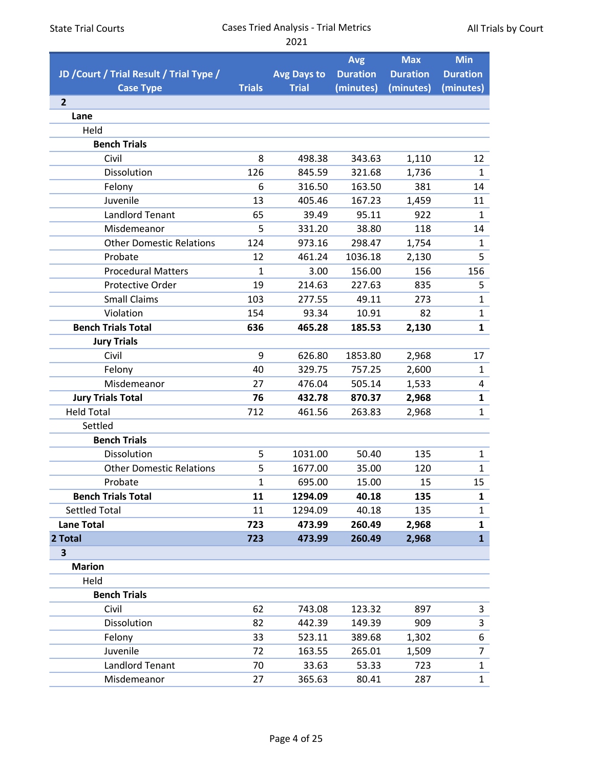|                                          |               |                    | <b>Avg</b>      | <b>Max</b>      | <b>Min</b>      |
|------------------------------------------|---------------|--------------------|-----------------|-----------------|-----------------|
| JD / Court / Trial Result / Trial Type / |               | <b>Avg Days to</b> | <b>Duration</b> | <b>Duration</b> | <b>Duration</b> |
| <b>Case Type</b>                         | <b>Trials</b> | <b>Trial</b>       | (minutes)       | (minutes)       | (minutes)       |
| $\overline{2}$                           |               |                    |                 |                 |                 |
| Lane                                     |               |                    |                 |                 |                 |
| Held                                     |               |                    |                 |                 |                 |
| <b>Bench Trials</b>                      |               |                    |                 |                 |                 |
| Civil                                    | 8             | 498.38             | 343.63          | 1,110           | 12              |
| Dissolution                              | 126           | 845.59             | 321.68          | 1,736           | 1               |
| Felony                                   | 6             | 316.50             | 163.50          | 381             | 14              |
| Juvenile                                 | 13            | 405.46             | 167.23          | 1,459           | 11              |
| <b>Landlord Tenant</b>                   | 65            | 39.49              | 95.11           | 922             | $\mathbf{1}$    |
| Misdemeanor                              | 5             | 331.20             | 38.80           | 118             | 14              |
| <b>Other Domestic Relations</b>          | 124           | 973.16             | 298.47          | 1,754           | $\mathbf{1}$    |
| Probate                                  | 12            | 461.24             | 1036.18         | 2,130           | 5               |
| <b>Procedural Matters</b>                | $\mathbf{1}$  | 3.00               | 156.00          | 156             | 156             |
| Protective Order                         | 19            | 214.63             | 227.63          | 835             | 5               |
| <b>Small Claims</b>                      | 103           | 277.55             | 49.11           | 273             | $\mathbf{1}$    |
| Violation                                | 154           | 93.34              | 10.91           | 82              | $\mathbf{1}$    |
| <b>Bench Trials Total</b>                | 636           | 465.28             | 185.53          | 2,130           | $\mathbf{1}$    |
| <b>Jury Trials</b>                       |               |                    |                 |                 |                 |
| Civil                                    | 9             | 626.80             | 1853.80         | 2,968           | 17              |
| Felony                                   | 40            | 329.75             | 757.25          | 2,600           | $\mathbf{1}$    |
| Misdemeanor                              | 27            | 476.04             | 505.14          | 1,533           | 4               |
| <b>Jury Trials Total</b>                 | 76            | 432.78             | 870.37          | 2,968           | 1               |
| <b>Held Total</b>                        | 712           | 461.56             | 263.83          | 2,968           | $\mathbf{1}$    |
| Settled                                  |               |                    |                 |                 |                 |
| <b>Bench Trials</b>                      |               |                    |                 |                 |                 |
| Dissolution                              | 5             | 1031.00            | 50.40           | 135             | $\mathbf{1}$    |
| <b>Other Domestic Relations</b>          | 5             | 1677.00            | 35.00           | 120             | $\mathbf{1}$    |
| Probate                                  | $\mathbf{1}$  | 695.00             | 15.00           | 15              | 15              |
| <b>Bench Trials Total</b>                | 11            | 1294.09            | 40.18           | 135             | 1               |
| <b>Settled Total</b>                     | 11            | 1294.09            | 40.18           | 135             | $\mathbf{1}$    |
| <b>Lane Total</b>                        | 723           | 473.99             | 260.49          | 2,968           | 1               |
| 2 Total                                  | 723           | 473.99             | 260.49          | 2,968           | $\mathbf{1}$    |
| 3                                        |               |                    |                 |                 |                 |
| <b>Marion</b>                            |               |                    |                 |                 |                 |
| Held                                     |               |                    |                 |                 |                 |
| <b>Bench Trials</b>                      |               |                    |                 |                 |                 |
| Civil                                    | 62            | 743.08             | 123.32          | 897             | 3               |
| Dissolution                              | 82            | 442.39             | 149.39          | 909             | 3               |
| Felony                                   | 33            | 523.11             | 389.68          | 1,302           | 6               |
| Juvenile                                 | 72            | 163.55             | 265.01          | 1,509           | $\overline{7}$  |
| Landlord Tenant                          | 70            | 33.63              | 53.33           | 723             | $\mathbf{1}$    |
| Misdemeanor                              | 27            | 365.63             | 80.41           | 287             | $\mathbf{1}$    |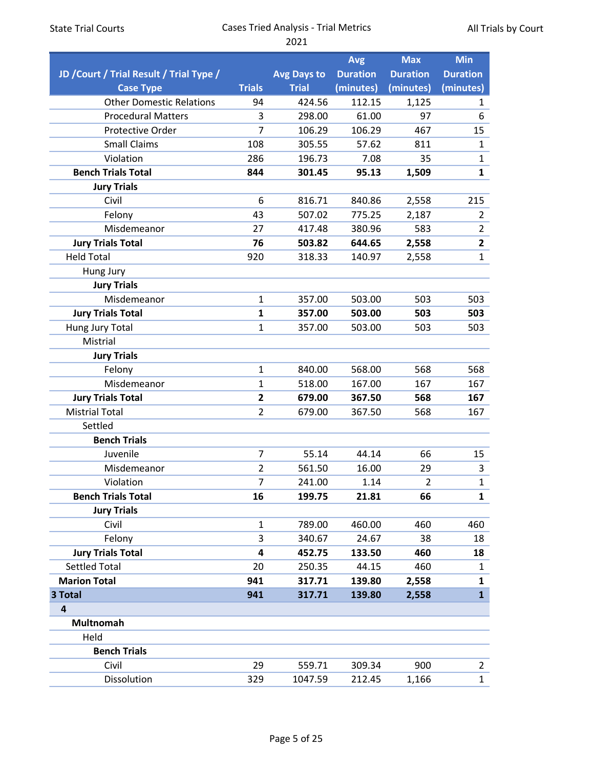|                                          |                |                    | <b>Avg</b>      | <b>Max</b>      | <b>Min</b>      |
|------------------------------------------|----------------|--------------------|-----------------|-----------------|-----------------|
| JD / Court / Trial Result / Trial Type / |                | <b>Avg Days to</b> | <b>Duration</b> | <b>Duration</b> | <b>Duration</b> |
| <b>Case Type</b>                         | <b>Trials</b>  | <b>Trial</b>       | (minutes)       | (minutes)       | (minutes)       |
| <b>Other Domestic Relations</b>          | 94             | 424.56             | 112.15          | 1,125           | 1               |
| <b>Procedural Matters</b>                | 3              | 298.00             | 61.00           | 97              | 6               |
| <b>Protective Order</b>                  | 7              | 106.29             | 106.29          | 467             | 15              |
| <b>Small Claims</b>                      | 108            | 305.55             | 57.62           | 811             | 1               |
| Violation                                | 286            | 196.73             | 7.08            | 35              | $\mathbf{1}$    |
| <b>Bench Trials Total</b>                | 844            | 301.45             | 95.13           | 1,509           | $\mathbf{1}$    |
| <b>Jury Trials</b>                       |                |                    |                 |                 |                 |
| Civil                                    | 6              | 816.71             | 840.86          | 2,558           | 215             |
| Felony                                   | 43             | 507.02             | 775.25          | 2,187           | $\overline{2}$  |
| Misdemeanor                              | 27             | 417.48             | 380.96          | 583             | $\overline{2}$  |
| <b>Jury Trials Total</b>                 | 76             | 503.82             | 644.65          | 2,558           | $\overline{2}$  |
| <b>Held Total</b>                        | 920            | 318.33             | 140.97          | 2,558           | $\mathbf{1}$    |
| Hung Jury                                |                |                    |                 |                 |                 |
| <b>Jury Trials</b>                       |                |                    |                 |                 |                 |
| Misdemeanor                              | $\mathbf{1}$   | 357.00             | 503.00          | 503             | 503             |
| <b>Jury Trials Total</b>                 | 1              | 357.00             | 503.00          | 503             | 503             |
| Hung Jury Total                          | 1              | 357.00             | 503.00          | 503             | 503             |
| Mistrial                                 |                |                    |                 |                 |                 |
| <b>Jury Trials</b>                       |                |                    |                 |                 |                 |
| Felony                                   | $\mathbf{1}$   | 840.00             | 568.00          | 568             | 568             |
| Misdemeanor                              | $\mathbf{1}$   | 518.00             | 167.00          | 167             | 167             |
| <b>Jury Trials Total</b>                 | $\overline{2}$ | 679.00             | 367.50          | 568             | 167             |
| <b>Mistrial Total</b>                    | $\overline{2}$ | 679.00             | 367.50          | 568             | 167             |
| Settled                                  |                |                    |                 |                 |                 |
| <b>Bench Trials</b>                      |                |                    |                 |                 |                 |
| Juvenile                                 | 7              | 55.14              | 44.14           | 66              | 15              |
| Misdemeanor                              | $\overline{2}$ | 561.50             | 16.00           | 29              | 3               |
| Violation                                | 7              | 241.00             | 1.14            | $\overline{2}$  | $\mathbf{1}$    |
| <b>Bench Trials Total</b>                | 16             | 199.75             | 21.81           | 66              | $\mathbf{1}$    |
| <b>Jury Trials</b>                       |                |                    |                 |                 |                 |
| Civil                                    | $\mathbf{1}$   | 789.00             | 460.00          | 460             | 460             |
| Felony                                   | 3              | 340.67             | 24.67           | 38              | 18              |
| <b>Jury Trials Total</b>                 | 4              | 452.75             | 133.50          | 460             | 18              |
| <b>Settled Total</b>                     | 20             | 250.35             | 44.15           | 460             | 1               |
| <b>Marion Total</b>                      | 941            | 317.71             | 139.80          | 2,558           | 1               |
| 3 Total                                  | 941            | 317.71             | 139.80          | 2,558           | $\mathbf{1}$    |
| $\overline{4}$                           |                |                    |                 |                 |                 |
| Multnomah                                |                |                    |                 |                 |                 |
| Held                                     |                |                    |                 |                 |                 |
| <b>Bench Trials</b>                      |                |                    |                 |                 |                 |
| Civil                                    | 29             | 559.71             | 309.34          | 900             | $\overline{2}$  |
| Dissolution                              | 329            | 1047.59            | 212.45          | 1,166           | $\mathbf{1}$    |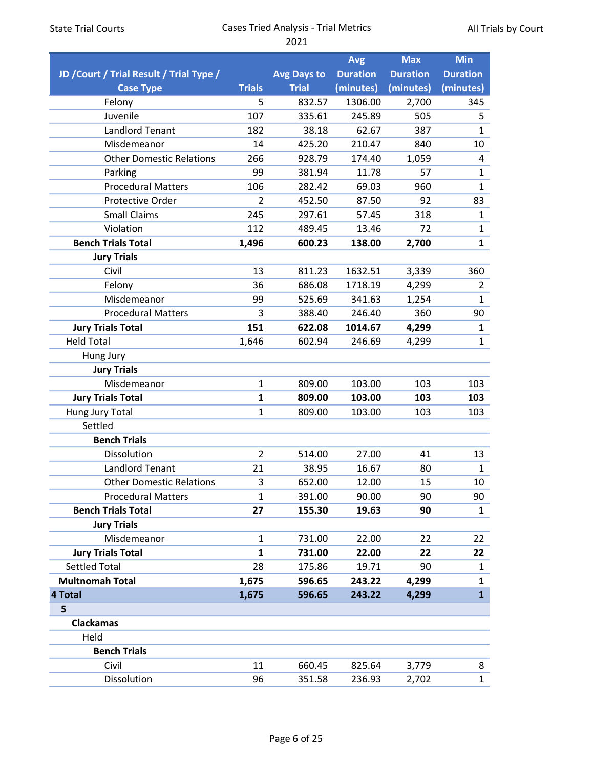|                                          |                |                    | <b>Avg</b>      | <b>Max</b>      | <b>Min</b>      |
|------------------------------------------|----------------|--------------------|-----------------|-----------------|-----------------|
| JD / Court / Trial Result / Trial Type / |                | <b>Avg Days to</b> | <b>Duration</b> | <b>Duration</b> | <b>Duration</b> |
| <b>Case Type</b>                         | <b>Trials</b>  | <b>Trial</b>       | (minutes)       | (minutes)       | (minutes)       |
| Felony                                   | 5              | 832.57             | 1306.00         | 2,700           | 345             |
| Juvenile                                 | 107            | 335.61             | 245.89          | 505             | 5               |
| <b>Landlord Tenant</b>                   | 182            | 38.18              | 62.67           | 387             | 1               |
| Misdemeanor                              | 14             | 425.20             | 210.47          | 840             | 10              |
| <b>Other Domestic Relations</b>          | 266            | 928.79             | 174.40          | 1,059           | 4               |
| Parking                                  | 99             | 381.94             | 11.78           | 57              | $\mathbf 1$     |
| <b>Procedural Matters</b>                | 106            | 282.42             | 69.03           | 960             | $\mathbf{1}$    |
| Protective Order                         | $\overline{2}$ | 452.50             | 87.50           | 92              | 83              |
| <b>Small Claims</b>                      | 245            | 297.61             | 57.45           | 318             | $\mathbf{1}$    |
| Violation                                | 112            | 489.45             | 13.46           | 72              | $\mathbf 1$     |
| <b>Bench Trials Total</b>                | 1,496          | 600.23             | 138.00          | 2,700           | $\mathbf{1}$    |
| <b>Jury Trials</b>                       |                |                    |                 |                 |                 |
| Civil                                    | 13             | 811.23             | 1632.51         | 3,339           | 360             |
| Felony                                   | 36             | 686.08             | 1718.19         | 4,299           | $\overline{2}$  |
| Misdemeanor                              | 99             | 525.69             | 341.63          | 1,254           | $\mathbf{1}$    |
| <b>Procedural Matters</b>                | 3              | 388.40             | 246.40          | 360             | 90              |
| <b>Jury Trials Total</b>                 | 151            | 622.08             | 1014.67         | 4,299           | 1               |
| <b>Held Total</b>                        | 1,646          | 602.94             | 246.69          | 4,299           | $\mathbf{1}$    |
| Hung Jury                                |                |                    |                 |                 |                 |
| <b>Jury Trials</b>                       |                |                    |                 |                 |                 |
| Misdemeanor                              | $\mathbf{1}$   | 809.00             | 103.00          | 103             | 103             |
| <b>Jury Trials Total</b>                 | 1              | 809.00             | 103.00          | 103             | 103             |
| Hung Jury Total                          | $\mathbf{1}$   | 809.00             | 103.00          | 103             | 103             |
| Settled                                  |                |                    |                 |                 |                 |
| <b>Bench Trials</b>                      |                |                    |                 |                 |                 |
| Dissolution                              | $\overline{2}$ | 514.00             | 27.00           | 41              | 13              |
| <b>Landlord Tenant</b>                   | 21             | 38.95              | 16.67           | 80              | $\mathbf{1}$    |
| <b>Other Domestic Relations</b>          | 3              | 652.00             | 12.00           | 15              | 10              |
| <b>Procedural Matters</b>                | $\mathbf{1}$   | 391.00             | 90.00           | 90              | 90              |
| <b>Bench Trials Total</b>                | 27             | 155.30             | 19.63           | 90              | $\mathbf{1}$    |
| <b>Jury Trials</b>                       |                |                    |                 |                 |                 |
| Misdemeanor                              | $\mathbf{1}$   | 731.00             | 22.00           | 22              | 22              |
| <b>Jury Trials Total</b>                 | $\mathbf{1}$   | 731.00             | 22.00           | 22              | 22              |
| <b>Settled Total</b>                     | 28             | 175.86             | 19.71           | 90              | $\mathbf{1}$    |
| <b>Multnomah Total</b>                   | 1,675          | 596.65             | 243.22          | 4,299           | 1               |
| 4 Total                                  | 1,675          | 596.65             | 243.22          | 4,299           | $\mathbf{1}$    |
| 5                                        |                |                    |                 |                 |                 |
| <b>Clackamas</b>                         |                |                    |                 |                 |                 |
| Held                                     |                |                    |                 |                 |                 |
| <b>Bench Trials</b>                      |                |                    |                 |                 |                 |
| Civil                                    | 11             | 660.45             | 825.64          | 3,779           | 8               |
| Dissolution                              | 96             | 351.58             | 236.93          | 2,702           | $\mathbf{1}$    |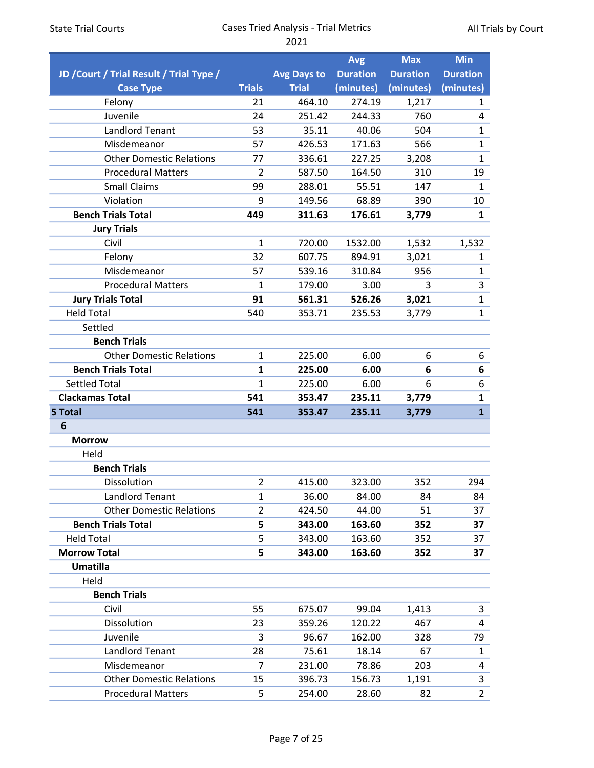|                                          |                |                    | <b>Avg</b>      | <b>Max</b>      | <b>Min</b>      |
|------------------------------------------|----------------|--------------------|-----------------|-----------------|-----------------|
| JD / Court / Trial Result / Trial Type / |                | <b>Avg Days to</b> | <b>Duration</b> | <b>Duration</b> | <b>Duration</b> |
| <b>Case Type</b>                         | <b>Trials</b>  | <b>Trial</b>       | (minutes)       | (minutes)       | (minutes)       |
| Felony                                   | 21             | 464.10             | 274.19          | 1,217           | $\mathbf{1}$    |
| Juvenile                                 | 24             | 251.42             | 244.33          | 760             | 4               |
| <b>Landlord Tenant</b>                   | 53             | 35.11              | 40.06           | 504             | $\mathbf{1}$    |
| Misdemeanor                              | 57             | 426.53             | 171.63          | 566             | $\mathbf{1}$    |
| <b>Other Domestic Relations</b>          | 77             | 336.61             | 227.25          | 3,208           | $\mathbf{1}$    |
| <b>Procedural Matters</b>                | $\overline{2}$ | 587.50             | 164.50          | 310             | 19              |
| <b>Small Claims</b>                      | 99             | 288.01             | 55.51           | 147             | 1               |
| Violation                                | 9              | 149.56             | 68.89           | 390             | 10              |
| <b>Bench Trials Total</b>                | 449            | 311.63             | 176.61          | 3,779           | 1               |
| <b>Jury Trials</b>                       |                |                    |                 |                 |                 |
| Civil                                    | $\mathbf{1}$   | 720.00             | 1532.00         | 1,532           | 1,532           |
| Felony                                   | 32             | 607.75             | 894.91          | 3,021           | 1               |
| Misdemeanor                              | 57             | 539.16             | 310.84          | 956             | $\mathbf{1}$    |
| <b>Procedural Matters</b>                | 1              | 179.00             | 3.00            | 3               | 3               |
| <b>Jury Trials Total</b>                 | 91             | 561.31             | 526.26          | 3,021           | $\mathbf{1}$    |
| <b>Held Total</b>                        | 540            | 353.71             | 235.53          | 3,779           | $\mathbf{1}$    |
| Settled                                  |                |                    |                 |                 |                 |
| <b>Bench Trials</b>                      |                |                    |                 |                 |                 |
| <b>Other Domestic Relations</b>          | 1              | 225.00             | 6.00            | 6               | 6               |
| <b>Bench Trials Total</b>                | 1              | 225.00             | 6.00            | 6               | 6               |
| <b>Settled Total</b>                     | $\mathbf{1}$   | 225.00             | 6.00            | 6               | 6               |
| <b>Clackamas Total</b>                   | 541            | 353.47             | 235.11          | 3,779           | 1               |
| 5 Total                                  | 541            | 353.47             | 235.11          | 3,779           | $\mathbf{1}$    |
| 6                                        |                |                    |                 |                 |                 |
| <b>Morrow</b>                            |                |                    |                 |                 |                 |
| Held                                     |                |                    |                 |                 |                 |
| <b>Bench Trials</b>                      |                |                    |                 |                 |                 |
| Dissolution                              | 2              | 415.00             | 323.00          | 352             | 294             |
| <b>Landlord Tenant</b>                   | $\mathbf{1}$   | 36.00              | 84.00           | 84              | 84              |
| <b>Other Domestic Relations</b>          | $\overline{2}$ | 424.50             | 44.00           | 51              | 37              |
| <b>Bench Trials Total</b>                | 5              | 343.00             | 163.60          | 352             | 37              |
| <b>Held Total</b>                        | 5              | 343.00             | 163.60          | 352             | 37              |
| <b>Morrow Total</b>                      | 5              | 343.00             | 163.60          | 352             | 37              |
| <b>Umatilla</b>                          |                |                    |                 |                 |                 |
| Held                                     |                |                    |                 |                 |                 |
| <b>Bench Trials</b>                      |                |                    |                 |                 |                 |
| Civil                                    | 55             | 675.07             | 99.04           | 1,413           | 3               |
| Dissolution                              | 23             | 359.26             | 120.22          | 467             | 4               |
| Juvenile                                 | 3              | 96.67              | 162.00          | 328             | 79              |
| <b>Landlord Tenant</b>                   | 28             | 75.61              | 18.14           | 67              | $\mathbf{1}$    |
| Misdemeanor                              | 7              | 231.00             | 78.86           | 203             | 4               |
| <b>Other Domestic Relations</b>          | 15             | 396.73             | 156.73          | 1,191           | 3               |
| <b>Procedural Matters</b>                | 5              | 254.00             | 28.60           | 82              | $2^{\circ}$     |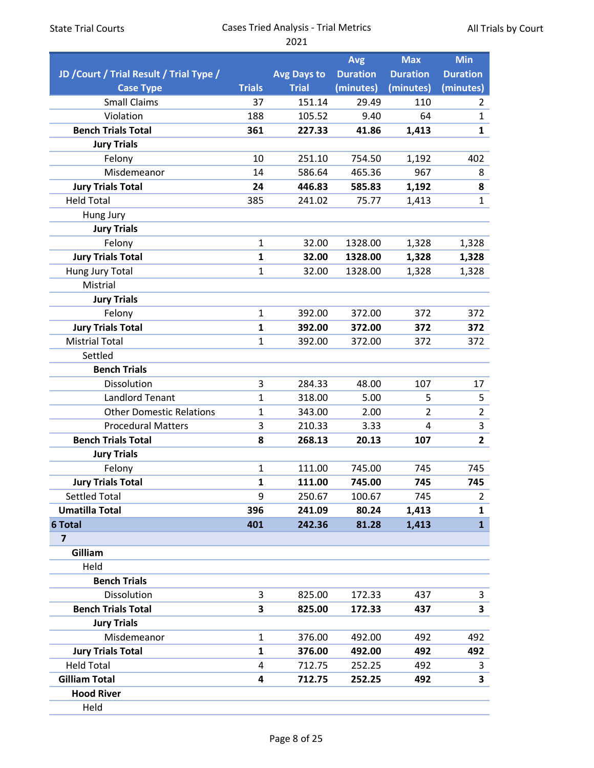| <b>State Trial Courts</b>                |               | <b>Cases Tried Analysis - Trial Metrics</b> | All Trials by Court |                 |                         |  |
|------------------------------------------|---------------|---------------------------------------------|---------------------|-----------------|-------------------------|--|
|                                          |               | 2021                                        |                     |                 |                         |  |
|                                          |               |                                             | <b>Avg</b>          | <b>Max</b>      | <b>Min</b>              |  |
| JD / Court / Trial Result / Trial Type / |               | <b>Avg Days to</b>                          | <b>Duration</b>     | <b>Duration</b> | <b>Duration</b>         |  |
| <b>Case Type</b>                         | <b>Trials</b> | <b>Trial</b>                                | (minutes)           | (minutes)       | (minutes)               |  |
| <b>Small Claims</b>                      | 37            | 151.14                                      | 29.49               | 110             | $\overline{2}$          |  |
| Violation                                | 188           | 105.52                                      | 9.40                | 64              | $\mathbf{1}$            |  |
| <b>Bench Trials Total</b>                | 361           | 227.33                                      | 41.86               | 1,413           | $\mathbf{1}$            |  |
| <b>Jury Trials</b>                       |               |                                             |                     |                 |                         |  |
| Felony                                   | 10            | 251.10                                      | 754.50              | 1,192           | 402                     |  |
| Misdemeanor                              | 14            | 586.64                                      | 465.36              | 967             | 8                       |  |
| <b>Jury Trials Total</b>                 | 24            | 446.83                                      | 585.83              | 1,192           | 8                       |  |
| <b>Held Total</b>                        | 385           | 241.02                                      | 75.77               | 1,413           | $\mathbf{1}$            |  |
| Hung Jury                                |               |                                             |                     |                 |                         |  |
| <b>Jury Trials</b>                       |               |                                             |                     |                 |                         |  |
| Felony                                   | $\mathbf{1}$  | 32.00                                       | 1328.00             | 1,328           | 1,328                   |  |
| <b>Jury Trials Total</b>                 | 1             | 32.00                                       | 1328.00             | 1,328           | 1,328                   |  |
| Hung Jury Total                          | $\mathbf{1}$  | 32.00                                       | 1328.00             | 1,328           | 1,328                   |  |
| Mistrial                                 |               |                                             |                     |                 |                         |  |
| <b>Jury Trials</b>                       |               |                                             |                     |                 |                         |  |
| Felony                                   | $\mathbf{1}$  | 392.00                                      | 372.00              | 372             | 372                     |  |
| <b>Jury Trials Total</b>                 | 1             | 392.00                                      | 372.00              | 372             | 372                     |  |
| <b>Mistrial Total</b>                    | $\mathbf{1}$  | 392.00                                      | 372.00              | 372             | 372                     |  |
| Settled                                  |               |                                             |                     |                 |                         |  |
| <b>Bench Trials</b>                      |               |                                             |                     |                 |                         |  |
| Dissolution                              | 3             | 284.33                                      | 48.00               | 107             | 17                      |  |
| <b>Landlord Tenant</b>                   | $\mathbf{1}$  | 318.00                                      | 5.00                | 5               | 5                       |  |
| <b>Other Domestic Relations</b>          | $\mathbf{1}$  | 343.00                                      | 2.00                | $\overline{2}$  | $\overline{2}$          |  |
| <b>Procedural Matters</b>                | 3             | 210.33                                      | 3.33                | $\overline{4}$  | $\overline{\mathbf{3}}$ |  |
| <b>Bench Trials Total</b>                | 8             | 268.13                                      | 20.13               | 107             | $\mathbf{2}$            |  |
| <b>Jury Trials</b>                       |               |                                             |                     |                 |                         |  |
| Felony                                   | $\mathbf{1}$  | 111.00                                      | 745.00              | 745             | 745                     |  |
| <b>Jury Trials Total</b>                 | $\mathbf{1}$  | 111.00                                      | 745.00              | 745             | 745                     |  |
| <b>Settled Total</b>                     | 9             | 250.67                                      | 100.67              | 745             | $2^{\circ}$             |  |
| <b>Umatilla Total</b>                    | 396           | 241.09                                      | 80.24               | 1,413           | $\mathbf{1}$            |  |
| <b>6 Total</b>                           | 401           | 242.36                                      | 81.28               | 1,413           | $\mathbf{1}$            |  |
| $\overline{\mathbf{z}}$                  |               |                                             |                     |                 |                         |  |
| Gilliam                                  |               |                                             |                     |                 |                         |  |
| Held                                     |               |                                             |                     |                 |                         |  |
| <b>Bench Trials</b>                      |               |                                             |                     |                 |                         |  |
| Dissolution                              | 3             | 825.00                                      | 172.33              | 437             | 3                       |  |
| <b>Bench Trials Total</b>                | 3             | 825.00                                      | 172.33              | 437             | 3                       |  |
| <b>Jury Trials</b>                       |               |                                             |                     |                 |                         |  |
| Misdemeanor                              | $\mathbf{1}$  | 376.00                                      | 492.00              | 492             | 492                     |  |
| <b>Jury Trials Total</b>                 | $\mathbf{1}$  | 376.00                                      | 492.00              | 492             | 492                     |  |
| <b>Held Total</b>                        | 4             | 712.75                                      | 252.25              | 492             | 3                       |  |
| <b>Gilliam Total</b>                     | 4             | 712.75                                      | 252.25              | 492             | 3                       |  |
| <b>Hood River</b>                        |               |                                             |                     |                 |                         |  |
| Held                                     |               |                                             |                     |                 |                         |  |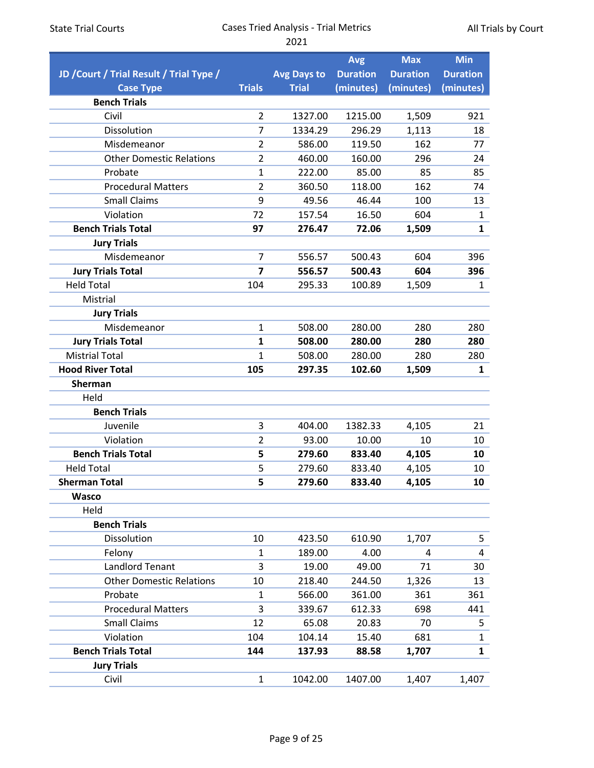|                                          |                         |                    | <b>Avg</b>      | <b>Max</b>      | <b>Min</b>      |
|------------------------------------------|-------------------------|--------------------|-----------------|-----------------|-----------------|
| JD / Court / Trial Result / Trial Type / |                         | <b>Avg Days to</b> | <b>Duration</b> | <b>Duration</b> | <b>Duration</b> |
| <b>Case Type</b>                         | <b>Trials</b>           | <b>Trial</b>       | (minutes)       | (minutes)       | (minutes)       |
| <b>Bench Trials</b>                      |                         |                    |                 |                 |                 |
| Civil                                    | $\overline{2}$          | 1327.00            | 1215.00         | 1,509           | 921             |
| Dissolution                              | $\overline{7}$          | 1334.29            | 296.29          | 1,113           | 18              |
| Misdemeanor                              | $\overline{2}$          | 586.00             | 119.50          | 162             | 77              |
| <b>Other Domestic Relations</b>          | 2                       | 460.00             | 160.00          | 296             | 24              |
| Probate                                  | 1                       | 222.00             | 85.00           | 85              | 85              |
| <b>Procedural Matters</b>                | $\overline{2}$          | 360.50             | 118.00          | 162             | 74              |
| <b>Small Claims</b>                      | 9                       | 49.56              | 46.44           | 100             | 13              |
| Violation                                | 72                      | 157.54             | 16.50           | 604             | $\mathbf{1}$    |
| <b>Bench Trials Total</b>                | 97                      | 276.47             | 72.06           | 1,509           | $\mathbf{1}$    |
| <b>Jury Trials</b>                       |                         |                    |                 |                 |                 |
| Misdemeanor                              | $\overline{7}$          | 556.57             | 500.43          | 604             | 396             |
| <b>Jury Trials Total</b>                 | $\overline{\mathbf{z}}$ | 556.57             | 500.43          | 604             | 396             |
| <b>Held Total</b>                        | 104                     | 295.33             | 100.89          | 1,509           | 1               |
| Mistrial                                 |                         |                    |                 |                 |                 |
| <b>Jury Trials</b>                       |                         |                    |                 |                 |                 |
| Misdemeanor                              | $\mathbf{1}$            | 508.00             | 280.00          | 280             | 280             |
| <b>Jury Trials Total</b>                 | 1                       | 508.00             | 280.00          | 280             | 280             |
| <b>Mistrial Total</b>                    | 1                       | 508.00             | 280.00          | 280             | 280             |
| <b>Hood River Total</b>                  | 105                     | 297.35             | 102.60          | 1,509           | 1               |
| <b>Sherman</b>                           |                         |                    |                 |                 |                 |
| Held                                     |                         |                    |                 |                 |                 |
| <b>Bench Trials</b>                      |                         |                    |                 |                 |                 |
| Juvenile                                 | 3                       | 404.00             | 1382.33         | 4,105           | 21              |
| Violation                                | 2                       | 93.00              | 10.00           | 10              | 10              |
| <b>Bench Trials Total</b>                | 5                       | 279.60             | 833.40          | 4,105           | 10              |
| <b>Held Total</b>                        | 5                       | 279.60             | 833.40          | 4,105           | 10              |
| <b>Sherman Total</b>                     | 5                       | 279.60             | 833.40          | 4,105           | 10              |
| <b>Wasco</b>                             |                         |                    |                 |                 |                 |
| Held                                     |                         |                    |                 |                 |                 |
| <b>Bench Trials</b>                      |                         |                    |                 |                 |                 |
| Dissolution                              | 10                      | 423.50             | 610.90          | 1,707           | 5               |
| Felony                                   | $\mathbf{1}$            | 189.00             | 4.00            | 4               | 4               |
| <b>Landlord Tenant</b>                   | 3                       | 19.00              | 49.00           | 71              | 30              |
| <b>Other Domestic Relations</b>          | 10                      | 218.40             | 244.50          | 1,326           | 13              |
| Probate                                  | 1                       | 566.00             | 361.00          | 361             | 361             |
| <b>Procedural Matters</b>                | 3                       | 339.67             | 612.33          | 698             | 441             |
| <b>Small Claims</b>                      | 12                      | 65.08              | 20.83           | 70              | 5               |
| Violation                                | 104                     | 104.14             | 15.40           | 681             | $\mathbf{1}$    |
| <b>Bench Trials Total</b>                | 144                     | 137.93             | 88.58           | 1,707           | 1               |
| <b>Jury Trials</b>                       |                         |                    |                 |                 |                 |
| Civil                                    | $\mathbf{1}$            | 1042.00            | 1407.00         | 1,407           | 1,407           |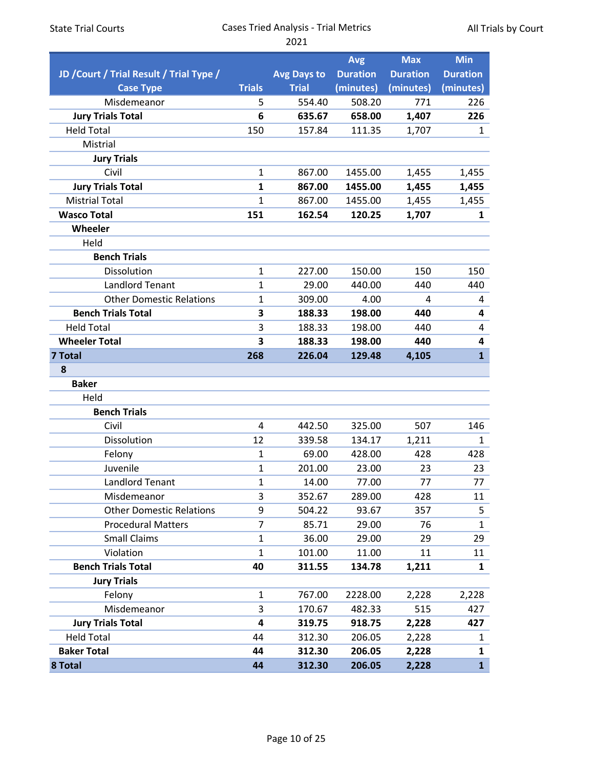| <b>State Trial Courts</b>                   | <b>Cases Tried Analysis - Trial Metrics</b><br>All Trials by Court<br>2021 |                    |                 |                 |                 |  |
|---------------------------------------------|----------------------------------------------------------------------------|--------------------|-----------------|-----------------|-----------------|--|
|                                             |                                                                            |                    |                 |                 |                 |  |
|                                             |                                                                            |                    | <b>Avg</b>      | <b>Max</b>      | <b>Min</b>      |  |
| JD / Court / Trial Result / Trial Type /    |                                                                            | <b>Avg Days to</b> | <b>Duration</b> | <b>Duration</b> | <b>Duration</b> |  |
| <b>Case Type</b>                            | <b>Trials</b>                                                              | <b>Trial</b>       | (minutes)       | (minutes)       | (minutes)       |  |
| Misdemeanor                                 | 5                                                                          | 554.40             | 508.20          | 771             | 226             |  |
| <b>Jury Trials Total</b>                    | 6                                                                          | 635.67             | 658.00          | 1,407           | 226             |  |
| <b>Held Total</b>                           | 150                                                                        | 157.84             | 111.35          | 1,707           | $\mathbf{1}$    |  |
| Mistrial                                    |                                                                            |                    |                 |                 |                 |  |
| <b>Jury Trials</b><br>Civil                 |                                                                            |                    |                 |                 |                 |  |
|                                             | 1                                                                          | 867.00             | 1455.00         | 1,455           | 1,455           |  |
| <b>Jury Trials Total</b>                    | 1                                                                          | 867.00             | 1455.00         | 1,455           | 1,455           |  |
| <b>Mistrial Total</b><br><b>Wasco Total</b> | $\mathbf{1}$                                                               | 867.00             | 1455.00         | 1,455           | 1,455           |  |
| Wheeler                                     | 151                                                                        | 162.54             | 120.25          | 1,707           | $\mathbf{1}$    |  |
| Held                                        |                                                                            |                    |                 |                 |                 |  |
| <b>Bench Trials</b>                         |                                                                            |                    |                 |                 |                 |  |
| Dissolution                                 | 1                                                                          | 227.00             | 150.00          | 150             | 150             |  |
| <b>Landlord Tenant</b>                      | 1                                                                          | 29.00              | 440.00          | 440             | 440             |  |
| <b>Other Domestic Relations</b>             | 1                                                                          | 309.00             | 4.00            | 4               | 4               |  |
| <b>Bench Trials Total</b>                   | 3                                                                          | 188.33             | 198.00          | 440             | 4               |  |
| <b>Held Total</b>                           | 3                                                                          | 188.33             | 198.00          | 440             | 4               |  |
| <b>Wheeler Total</b>                        | 3                                                                          | 188.33             | 198.00          | 440             | 4               |  |
| 7 Total                                     | 268                                                                        | 226.04             | 129.48          | 4,105           | $\mathbf{1}$    |  |
| 8                                           |                                                                            |                    |                 |                 |                 |  |
| <b>Baker</b>                                |                                                                            |                    |                 |                 |                 |  |
| Held                                        |                                                                            |                    |                 |                 |                 |  |
| <b>Bench Trials</b>                         |                                                                            |                    |                 |                 |                 |  |
| Civil                                       | 4                                                                          | 442.50             | 325.00          | 507             | 146             |  |
| Dissolution                                 | 12                                                                         | 339.58             | 134.17          | 1,211           | 1               |  |
| Felony                                      | 1                                                                          | 69.00              | 428.00          | 428             | 428             |  |
| Juvenile                                    | 1                                                                          | 201.00             | 23.00           | 23              | 23              |  |
| Landlord Tenant                             | 1                                                                          | 14.00              | 77.00           | 77              | 77              |  |
| Misdemeanor                                 | 3                                                                          | 352.67             | 289.00          | 428             | 11              |  |
| <b>Other Domestic Relations</b>             | 9                                                                          | 504.22             | 93.67           | 357             | 5               |  |
| <b>Procedural Matters</b>                   | $\overline{7}$                                                             | 85.71              | 29.00           | 76              | $\mathbf{1}$    |  |
| <b>Small Claims</b>                         | $\mathbf 1$                                                                | 36.00              | 29.00           | 29              | 29              |  |
| Violation                                   | 1                                                                          | 101.00             | 11.00           | 11              | 11              |  |
| <b>Bench Trials Total</b>                   | 40                                                                         | 311.55             | 134.78          | 1,211           | $\mathbf{1}$    |  |
| <b>Jury Trials</b>                          |                                                                            |                    |                 |                 |                 |  |
| Felony                                      | 1                                                                          | 767.00             | 2228.00         | 2,228           | 2,228           |  |
| Misdemeanor                                 | 3                                                                          | 170.67             | 482.33          | 515             | 427             |  |
| <b>Jury Trials Total</b>                    | 4                                                                          | 319.75             | 918.75          | 2,228           | 427             |  |
| <b>Held Total</b>                           | 44                                                                         | 312.30             | 206.05          | 2,228           | $\mathbf 1$     |  |
| <b>Baker Total</b>                          | 44                                                                         | 312.30             | 206.05          | 2,228           | 1               |  |
| 8 Total                                     | 44                                                                         | 312.30             | 206.05          | 2,228           | $\mathbf{1}$    |  |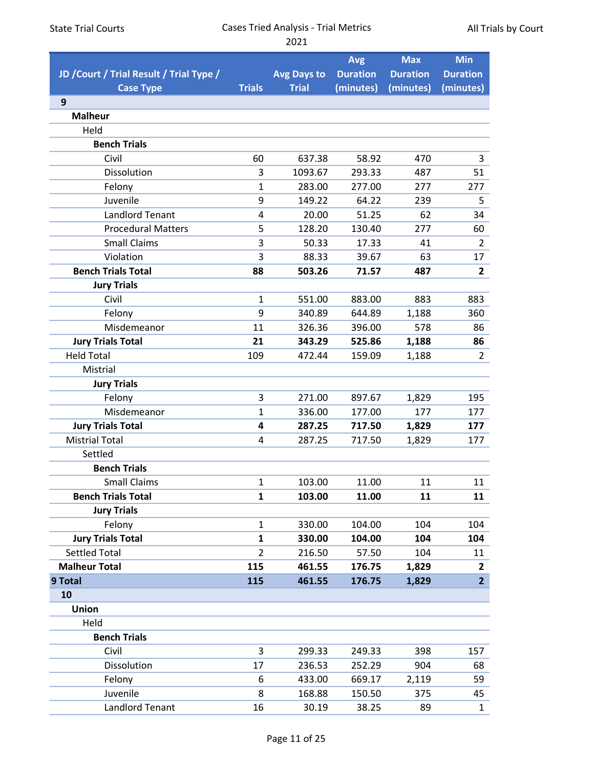All Trials by Court

|                                          |                |                    | <b>Avg</b>      | <b>Max</b>      | <b>Min</b>      |
|------------------------------------------|----------------|--------------------|-----------------|-----------------|-----------------|
| JD / Court / Trial Result / Trial Type / |                | <b>Avg Days to</b> | <b>Duration</b> | <b>Duration</b> | <b>Duration</b> |
| <b>Case Type</b>                         | <b>Trials</b>  | <b>Trial</b>       | (minutes)       | (minutes)       | (minutes)       |
| 9                                        |                |                    |                 |                 |                 |
| <b>Malheur</b>                           |                |                    |                 |                 |                 |
| Held                                     |                |                    |                 |                 |                 |
| <b>Bench Trials</b>                      |                |                    |                 |                 |                 |
| Civil                                    | 60             | 637.38             | 58.92           | 470             | 3               |
| Dissolution                              | 3              | 1093.67            | 293.33          | 487             | 51              |
| Felony                                   | $\mathbf{1}$   | 283.00             | 277.00          | 277             | 277             |
| Juvenile                                 | 9              | 149.22             | 64.22           | 239             | 5               |
| <b>Landlord Tenant</b>                   | 4              | 20.00              | 51.25           | 62              | 34              |
| <b>Procedural Matters</b>                | 5              | 128.20             | 130.40          | 277             | 60              |
| <b>Small Claims</b>                      | 3              | 50.33              | 17.33           | 41              | $\overline{2}$  |
| Violation                                | 3              | 88.33              | 39.67           | 63              | 17              |
| <b>Bench Trials Total</b>                | 88             | 503.26             | 71.57           | 487             | $\overline{2}$  |
| <b>Jury Trials</b>                       |                |                    |                 |                 |                 |
| Civil                                    | $\mathbf{1}$   | 551.00             | 883.00          | 883             | 883             |
| Felony                                   | 9              | 340.89             | 644.89          | 1,188           | 360             |
| Misdemeanor                              | 11             | 326.36             | 396.00          | 578             | 86              |
| <b>Jury Trials Total</b>                 | 21             | 343.29             | 525.86          | 1,188           | 86              |
| <b>Held Total</b>                        | 109            | 472.44             | 159.09          | 1,188           | $\overline{2}$  |
| Mistrial                                 |                |                    |                 |                 |                 |
| <b>Jury Trials</b>                       |                |                    |                 |                 |                 |
| Felony                                   | 3              | 271.00             | 897.67          | 1,829           | 195             |
| Misdemeanor                              | $\mathbf{1}$   | 336.00             | 177.00          | 177             | 177             |
| <b>Jury Trials Total</b>                 | 4              | 287.25             | 717.50          | 1,829           | 177             |
| <b>Mistrial Total</b>                    | 4              | 287.25             | 717.50          | 1,829           | 177             |
| Settled                                  |                |                    |                 |                 |                 |
| <b>Bench Trials</b>                      |                |                    |                 |                 |                 |
| <b>Small Claims</b>                      | $\mathbf 1$    | 103.00             | 11.00           | 11              | 11              |
| <b>Bench Trials Total</b>                | $\mathbf{1}$   | 103.00             | 11.00           | 11              | 11              |
| <b>Jury Trials</b>                       |                |                    |                 |                 |                 |
| Felony                                   | $\mathbf{1}$   | 330.00             | 104.00          | 104             | 104             |
| <b>Jury Trials Total</b>                 | $\mathbf{1}$   | 330.00             | 104.00          | 104             | 104             |
| <b>Settled Total</b>                     | $\overline{2}$ | 216.50             | 57.50           | 104             | 11              |
| <b>Malheur Total</b>                     | 115            | 461.55             | 176.75          | 1,829           | $\overline{2}$  |
| 9 Total                                  | 115            | 461.55             | 176.75          | 1,829           | $\overline{2}$  |
| 10                                       |                |                    |                 |                 |                 |
| Union                                    |                |                    |                 |                 |                 |
| Held                                     |                |                    |                 |                 |                 |
| <b>Bench Trials</b>                      |                |                    |                 |                 |                 |
| Civil                                    | 3              | 299.33             | 249.33          | 398             | 157             |
| Dissolution                              | 17             | 236.53             | 252.29          | 904             | 68              |
| Felony                                   | 6              | 433.00             | 669.17          | 2,119           | 59              |
| Juvenile                                 | 8              | 168.88             | 150.50          | 375             | 45              |
| <b>Landlord Tenant</b>                   | 16             | 30.19              | 38.25           | 89              | $\mathbf{1}$    |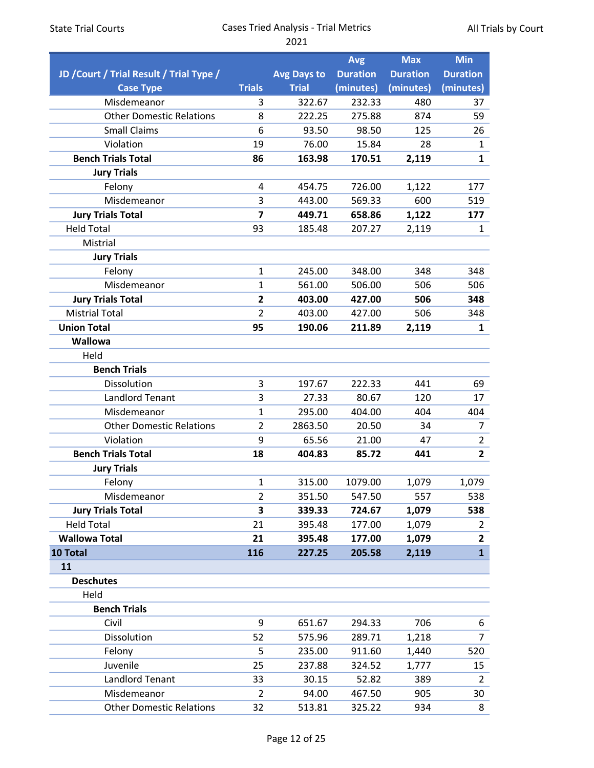|                                          |                |                    | <b>Avg</b>      | <b>Max</b>      | <b>Min</b>      |
|------------------------------------------|----------------|--------------------|-----------------|-----------------|-----------------|
| JD / Court / Trial Result / Trial Type / |                | <b>Avg Days to</b> | <b>Duration</b> | <b>Duration</b> | <b>Duration</b> |
| <b>Case Type</b>                         | <b>Trials</b>  | <b>Trial</b>       | (minutes)       | (minutes)       | (minutes)       |
| Misdemeanor                              | 3              | 322.67             | 232.33          | 480             | 37              |
| <b>Other Domestic Relations</b>          | 8              | 222.25             | 275.88          | 874             | 59              |
| <b>Small Claims</b>                      | 6              | 93.50              | 98.50           | 125             | 26              |
| Violation                                | 19             | 76.00              | 15.84           | 28              | $\mathbf{1}$    |
| <b>Bench Trials Total</b>                | 86             | 163.98             | 170.51          | 2,119           | $\mathbf{1}$    |
| <b>Jury Trials</b>                       |                |                    |                 |                 |                 |
| Felony                                   | 4              | 454.75             | 726.00          | 1,122           | 177             |
| Misdemeanor                              | 3              | 443.00             | 569.33          | 600             | 519             |
| <b>Jury Trials Total</b>                 | 7              | 449.71             | 658.86          | 1,122           | 177             |
| <b>Held Total</b>                        | 93             | 185.48             | 207.27          | 2,119           | $\mathbf{1}$    |
| Mistrial                                 |                |                    |                 |                 |                 |
| <b>Jury Trials</b>                       |                |                    |                 |                 |                 |
| Felony                                   | $\mathbf{1}$   | 245.00             | 348.00          | 348             | 348             |
| Misdemeanor                              | $\mathbf{1}$   | 561.00             | 506.00          | 506             | 506             |
| <b>Jury Trials Total</b>                 | $\overline{2}$ | 403.00             | 427.00          | 506             | 348             |
| <b>Mistrial Total</b>                    | $\overline{2}$ | 403.00             | 427.00          | 506             | 348             |
| <b>Union Total</b>                       | 95             | 190.06             | 211.89          | 2,119           | $\mathbf{1}$    |
| Wallowa                                  |                |                    |                 |                 |                 |
| Held                                     |                |                    |                 |                 |                 |
| <b>Bench Trials</b>                      |                |                    |                 |                 |                 |
| Dissolution                              | 3              | 197.67             | 222.33          | 441             | 69              |
| <b>Landlord Tenant</b>                   | 3              | 27.33              | 80.67           | 120             | 17              |
| Misdemeanor                              | $\mathbf{1}$   | 295.00             | 404.00          | 404             | 404             |
| <b>Other Domestic Relations</b>          | $\overline{2}$ | 2863.50            | 20.50           | 34              | 7               |
| Violation                                | 9              | 65.56              | 21.00           | 47              | $\overline{2}$  |
| <b>Bench Trials Total</b>                | 18             | 404.83             | 85.72           | 441             | $\overline{2}$  |
| <b>Jury Trials</b>                       |                |                    |                 |                 |                 |
| Felony                                   | $\mathbf{1}$   | 315.00             | 1079.00         | 1,079           | 1,079           |
| Misdemeanor                              | $\overline{2}$ | 351.50             | 547.50          | 557             | 538             |
| <b>Jury Trials Total</b>                 | 3              | 339.33             | 724.67          | 1,079           | 538             |
| <b>Held Total</b>                        | 21             | 395.48             | 177.00          | 1,079           | $\overline{2}$  |
| <b>Wallowa Total</b>                     | 21             | 395.48             | 177.00          | 1,079           | $\overline{2}$  |
| 10 Total                                 | 116            | 227.25             | 205.58          | 2,119           | $\mathbf{1}$    |
| 11                                       |                |                    |                 |                 |                 |
| <b>Deschutes</b>                         |                |                    |                 |                 |                 |
| Held                                     |                |                    |                 |                 |                 |
| <b>Bench Trials</b>                      |                |                    |                 |                 |                 |
| Civil                                    | 9              | 651.67             | 294.33          | 706             | 6               |
| Dissolution                              | 52             | 575.96             | 289.71          | 1,218           | $\overline{7}$  |
| Felony                                   | 5              | 235.00             | 911.60          | 1,440           | 520             |
| Juvenile                                 | 25             | 237.88             | 324.52          | 1,777           | 15              |
| <b>Landlord Tenant</b>                   | 33             | 30.15              | 52.82           | 389             | $\overline{2}$  |
| Misdemeanor                              | $\overline{2}$ | 94.00              | 467.50          | 905             | 30              |
| <b>Other Domestic Relations</b>          | 32             | 513.81             | 325.22          | 934             | 8               |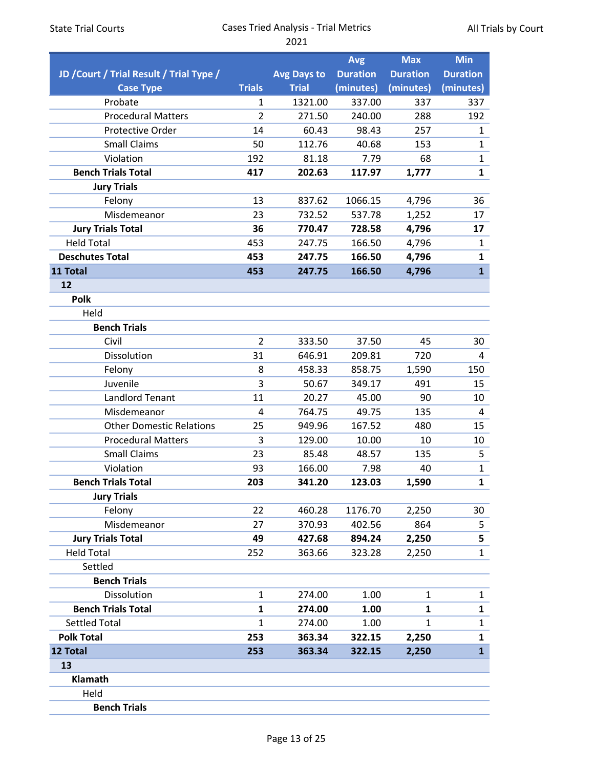| <b>State Trial Courts</b> |  |  |  |
|---------------------------|--|--|--|
|---------------------------|--|--|--|

|                                          |                |                    | Avg             | Max             | <b>Min</b>                   |
|------------------------------------------|----------------|--------------------|-----------------|-----------------|------------------------------|
| JD / Court / Trial Result / Trial Type / |                | <b>Avg Days to</b> | <b>Duration</b> | <b>Duration</b> | <b>Duration</b>              |
| <b>Case Type</b>                         | <b>Trials</b>  | <b>Trial</b>       | (minutes)       | (minutes)       | (minutes)                    |
| Probate                                  | 1              | 1321.00            | 337.00          | 337             | 337                          |
| <b>Procedural Matters</b>                | $\overline{2}$ | 271.50             | 240.00          | 288             | 192                          |
| <b>Protective Order</b>                  | 14             | 60.43              | 98.43           | 257             | $\mathbf{1}$                 |
| <b>Small Claims</b>                      | 50             | 112.76             | 40.68           | 153             | $\mathbf{1}$                 |
| Violation                                | 192            | 81.18              | 7.79            | 68              | $\mathbf{1}$                 |
| <b>Bench Trials Total</b>                | 417            | 202.63             | 117.97          | 1,777           | $\mathbf{1}$                 |
| <b>Jury Trials</b>                       |                |                    |                 |                 |                              |
| Felony                                   | 13             | 837.62             | 1066.15         | 4,796           | 36                           |
| Misdemeanor                              | 23             | 732.52             | 537.78          | 1,252           | 17                           |
| <b>Jury Trials Total</b>                 | 36             | 770.47             | 728.58          | 4,796           | 17                           |
| <b>Held Total</b>                        | 453            | 247.75             | 166.50          | 4,796           | 1                            |
| <b>Deschutes Total</b>                   | 453            | 247.75             | 166.50          | 4,796           | $\mathbf{1}$                 |
| 11 Total                                 | 453            | 247.75             | 166.50          | 4,796           | $\mathbf{1}$                 |
| 12                                       |                |                    |                 |                 |                              |
| <b>Polk</b>                              |                |                    |                 |                 |                              |
| Held                                     |                |                    |                 |                 |                              |
| <b>Bench Trials</b>                      |                |                    |                 |                 |                              |
| Civil                                    | $\overline{2}$ | 333.50             | 37.50           | 45              | 30                           |
| Dissolution                              | 31             | 646.91             | 209.81          | 720             | 4                            |
| Felony                                   | 8              | 458.33             | 858.75          | 1,590           | 150                          |
| Juvenile                                 | 3              | 50.67              | 349.17          | 491             | 15                           |
| <b>Landlord Tenant</b>                   | 11             | 20.27              | 45.00           | 90              | 10                           |
| Misdemeanor                              | 4              | 764.75             | 49.75           | 135             | 4                            |
| <b>Other Domestic Relations</b>          | 25             | 949.96             | 167.52          | 480             | 15                           |
| <b>Procedural Matters</b>                | 3              | 129.00             | 10.00           | 10              | 10                           |
| <b>Small Claims</b>                      | 23             | 85.48              | 48.57           | 135             | 5                            |
| Violation<br><b>Bench Trials Total</b>   | 93<br>203      | 166.00             | 7.98<br>123.03  | 40              | $\mathbf{1}$<br>$\mathbf{1}$ |
|                                          |                | 341.20             |                 | 1,590           |                              |
| <b>Jury Trials</b>                       | 22             |                    | 1176.70         |                 |                              |
| Felony<br>Misdemeanor                    | 27             | 460.28<br>370.93   | 402.56          | 2,250<br>864    | 30<br>5                      |
| <b>Jury Trials Total</b>                 | 49             | 427.68             | 894.24          |                 | 5                            |
| <b>Held Total</b>                        | 252            | 363.66             | 323.28          | 2,250<br>2,250  | $\mathbf 1$                  |
| Settled                                  |                |                    |                 |                 |                              |
| <b>Bench Trials</b>                      |                |                    |                 |                 |                              |
| Dissolution                              | $\mathbf{1}$   | 274.00             | 1.00            | $\mathbf{1}$    | 1                            |
| <b>Bench Trials Total</b>                | 1              | 274.00             | 1.00            | 1               | 1                            |
| <b>Settled Total</b>                     | $\mathbf{1}$   | 274.00             | 1.00            | 1               | $\mathbf 1$                  |
| <b>Polk Total</b>                        | 253            | 363.34             | 322.15          | 2,250           | 1                            |
| 12 Total                                 | 253            | 363.34             | 322.15          | 2,250           | $\mathbf{1}$                 |
| 13                                       |                |                    |                 |                 |                              |
| Klamath                                  |                |                    |                 |                 |                              |
| Held                                     |                |                    |                 |                 |                              |
| <b>Bench Trials</b>                      |                |                    |                 |                 |                              |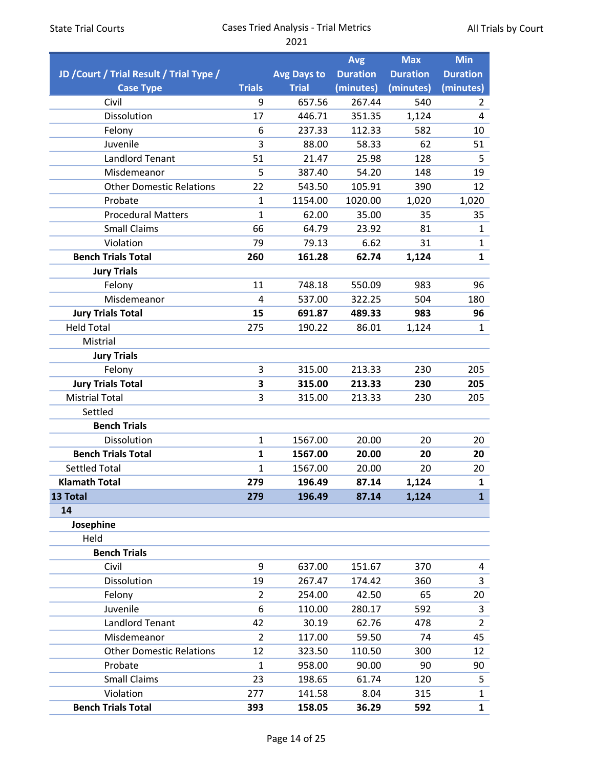|                                          |                |                    | <b>Avg</b>      | <b>Max</b>      | <b>Min</b>      |
|------------------------------------------|----------------|--------------------|-----------------|-----------------|-----------------|
| JD / Court / Trial Result / Trial Type / |                | <b>Avg Days to</b> | <b>Duration</b> | <b>Duration</b> | <b>Duration</b> |
| <b>Case Type</b>                         | <b>Trials</b>  | <b>Trial</b>       | (minutes)       | (minutes)       | (minutes)       |
| Civil                                    | 9              | 657.56             | 267.44          | 540             | $\overline{2}$  |
| Dissolution                              | 17             | 446.71             | 351.35          | 1,124           | 4               |
| Felony                                   | 6              | 237.33             | 112.33          | 582             | 10              |
| Juvenile                                 | 3              | 88.00              | 58.33           | 62              | 51              |
| <b>Landlord Tenant</b>                   | 51             | 21.47              | 25.98           | 128             | 5               |
| Misdemeanor                              | 5              | 387.40             | 54.20           | 148             | 19              |
| <b>Other Domestic Relations</b>          | 22             | 543.50             | 105.91          | 390             | 12              |
| Probate                                  | 1              | 1154.00            | 1020.00         | 1,020           | 1,020           |
| <b>Procedural Matters</b>                | $\mathbf 1$    | 62.00              | 35.00           | 35              | 35              |
| <b>Small Claims</b>                      | 66             | 64.79              | 23.92           | 81              | $\mathbf{1}$    |
| Violation                                | 79             | 79.13              | 6.62            | 31              | $\mathbf{1}$    |
| <b>Bench Trials Total</b>                | 260            | 161.28             | 62.74           | 1,124           | $\mathbf{1}$    |
| <b>Jury Trials</b>                       |                |                    |                 |                 |                 |
| Felony                                   | 11             | 748.18             | 550.09          | 983             | 96              |
| Misdemeanor                              | $\overline{4}$ | 537.00             | 322.25          | 504             | 180             |
| <b>Jury Trials Total</b>                 | 15             | 691.87             | 489.33          | 983             | 96              |
| <b>Held Total</b>                        | 275            | 190.22             | 86.01           | 1,124           | $\mathbf{1}$    |
| Mistrial                                 |                |                    |                 |                 |                 |
| <b>Jury Trials</b>                       |                |                    |                 |                 |                 |
| Felony                                   | 3              | 315.00             | 213.33          | 230             | 205             |
| <b>Jury Trials Total</b>                 | 3              | 315.00             | 213.33          | 230             | 205             |
| <b>Mistrial Total</b>                    | 3              | 315.00             | 213.33          | 230             | 205             |
| Settled                                  |                |                    |                 |                 |                 |
| <b>Bench Trials</b>                      |                |                    |                 |                 |                 |
| Dissolution                              | $\mathbf{1}$   | 1567.00            | 20.00           | 20              | 20              |
| <b>Bench Trials Total</b>                | 1              | 1567.00            | 20.00           | 20              | 20              |
| <b>Settled Total</b>                     | 1              | 1567.00            | 20.00           | 20              | 20              |
| <b>Klamath Total</b>                     | 279            | 196.49             | 87.14           | 1,124           | $\mathbf{1}$    |
| 13 Total                                 | 279            | 196.49             | 87.14           | 1,124           | $\mathbf{1}$    |
| 14                                       |                |                    |                 |                 |                 |
| Josephine                                |                |                    |                 |                 |                 |
| Held                                     |                |                    |                 |                 |                 |
| <b>Bench Trials</b>                      |                |                    |                 |                 |                 |
| Civil                                    | 9              | 637.00             | 151.67          | 370             | 4               |
| Dissolution                              | 19             | 267.47             | 174.42          | 360             | 3               |
| Felony                                   | $\overline{2}$ | 254.00             | 42.50           | 65              | 20              |
| Juvenile                                 | 6              | 110.00             | 280.17          | 592             | 3               |
| <b>Landlord Tenant</b>                   | 42             | 30.19              | 62.76           | 478             | $\overline{2}$  |
| Misdemeanor                              | $\overline{2}$ | 117.00             | 59.50           | 74              | 45              |
| <b>Other Domestic Relations</b>          | 12             | 323.50             | 110.50          | 300             | 12              |
| Probate                                  | $\mathbf{1}$   | 958.00             | 90.00           | 90              | 90              |
| <b>Small Claims</b>                      | 23             | 198.65             | 61.74           | 120             | 5               |
| Violation                                | 277            | 141.58             | 8.04            | 315             | $\mathbf{1}$    |
| <b>Bench Trials Total</b>                | 393            | 158.05             | 36.29           | 592             | $\mathbf{1}$    |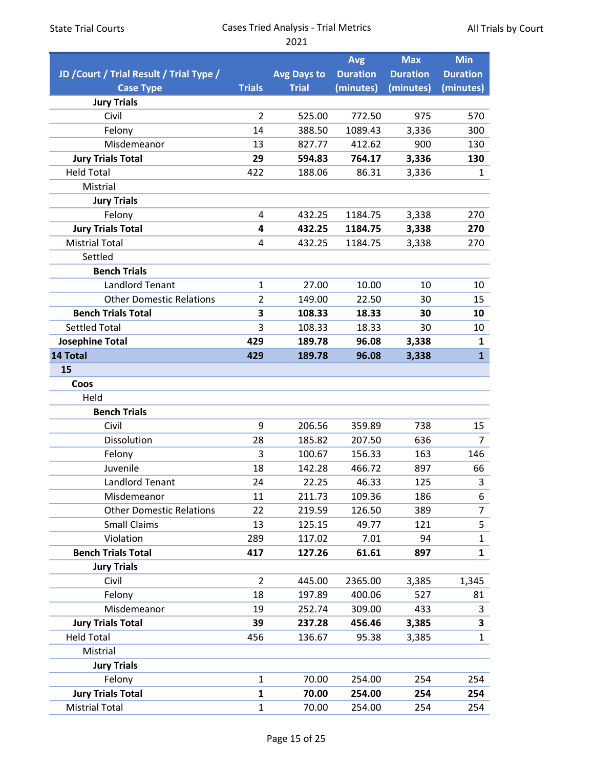| <b>State Trial Courts</b>                | <b>Cases Tried Analysis - Trial Metrics</b> | All Trials by Court |                 |                 |                         |  |
|------------------------------------------|---------------------------------------------|---------------------|-----------------|-----------------|-------------------------|--|
|                                          |                                             | 2021                |                 |                 |                         |  |
|                                          |                                             |                     | <b>Avg</b>      | <b>Max</b>      | <b>Min</b>              |  |
| JD / Court / Trial Result / Trial Type / |                                             | <b>Avg Days to</b>  | <b>Duration</b> | <b>Duration</b> | <b>Duration</b>         |  |
| <b>Case Type</b>                         | <b>Trials</b>                               | <b>Trial</b>        | (minutes)       | (minutes)       | (minutes)               |  |
| <b>Jury Trials</b>                       |                                             |                     |                 |                 |                         |  |
| Civil                                    | $\overline{2}$                              | 525.00              | 772.50          | 975             | 570                     |  |
| Felony                                   | 14                                          | 388.50              | 1089.43         | 3,336           | 300                     |  |
| Misdemeanor                              | 13                                          | 827.77              | 412.62          | 900             | 130                     |  |
| <b>Jury Trials Total</b>                 | 29                                          | 594.83              | 764.17          | 3,336           | 130                     |  |
| <b>Held Total</b>                        | 422                                         | 188.06              | 86.31           | 3,336           | 1                       |  |
| Mistrial                                 |                                             |                     |                 |                 |                         |  |
| <b>Jury Trials</b>                       |                                             |                     |                 |                 |                         |  |
| Felony                                   | 4                                           | 432.25              | 1184.75         | 3,338           | 270                     |  |
| <b>Jury Trials Total</b>                 | 4                                           | 432.25              | 1184.75         | 3,338           | 270                     |  |
| <b>Mistrial Total</b>                    | 4                                           | 432.25              | 1184.75         | 3,338           | 270                     |  |
| Settled                                  |                                             |                     |                 |                 |                         |  |
| <b>Bench Trials</b>                      |                                             |                     |                 |                 |                         |  |
| <b>Landlord Tenant</b>                   | $\mathbf{1}$                                | 27.00               | 10.00           | 10              | 10                      |  |
| <b>Other Domestic Relations</b>          | $\overline{2}$                              | 149.00              | 22.50           | 30              | 15                      |  |
| <b>Bench Trials Total</b>                | 3                                           | 108.33              | 18.33           | 30              | 10                      |  |
| <b>Settled Total</b>                     | 3                                           | 108.33              | 18.33           | 30              | 10                      |  |
| <b>Josephine Total</b>                   | 429                                         | 189.78              | 96.08           | 3,338           | 1                       |  |
| 14 Total                                 | 429                                         | 189.78              | 96.08           | 3,338           | $\mathbf{1}$            |  |
| 15                                       |                                             |                     |                 |                 |                         |  |
| Coos                                     |                                             |                     |                 |                 |                         |  |
| Held                                     |                                             |                     |                 |                 |                         |  |
| <b>Bench Trials</b>                      |                                             |                     |                 |                 |                         |  |
| Civil                                    | 9                                           | 206.56              | 359.89          | 738             | 15                      |  |
| Dissolution                              | 28                                          | 185.82              | 207.50          | 636             | 7                       |  |
| Felony                                   | $\mathsf{3}$                                | 100.67              | 156.33          | 163             | 146                     |  |
| Juvenile                                 | 18                                          | 142.28              | 466.72          | 897             | 66                      |  |
| <b>Landlord Tenant</b>                   | 24                                          | 22.25               | 46.33           | 125             | $\overline{\mathbf{3}}$ |  |
| Misdemeanor                              | 11                                          | 211.73              | 109.36          | 186             | 6                       |  |
| <b>Other Domestic Relations</b>          | 22                                          | 219.59              | 126.50          | 389             | $\overline{7}$          |  |
| <b>Small Claims</b>                      | 13                                          | 125.15              | 49.77           | 121             | $\overline{\mathbf{5}}$ |  |
| Violation                                | 289                                         | 117.02              | 7.01            | 94              | $\mathbf{1}$            |  |
| <b>Bench Trials Total</b>                | 417                                         | 127.26              | 61.61           | 897             | $\mathbf{1}$            |  |
| <b>Jury Trials</b>                       |                                             |                     |                 |                 |                         |  |
| Civil                                    | $\overline{2}$                              | 445.00              | 2365.00         |                 |                         |  |
|                                          |                                             |                     |                 | 3,385           | 1,345                   |  |
| Felony                                   | 18                                          | 197.89              | 400.06          | 527             | 81                      |  |
| Misdemeanor                              | 19                                          | 252.74              | 309.00          | 433             | 3                       |  |
| <b>Jury Trials Total</b>                 | 39                                          | 237.28              | 456.46          | 3,385           | $\overline{\mathbf{3}}$ |  |
| <b>Held Total</b>                        | 456                                         | 136.67              | 95.38           | 3,385           | 1                       |  |
| Mistrial                                 |                                             |                     |                 |                 |                         |  |
| <b>Jury Trials</b>                       |                                             |                     |                 |                 |                         |  |
| Felony                                   | $\mathbf{1}$                                | 70.00               | 254.00          | 254             | 254                     |  |
| <b>Jury Trials Total</b>                 | $\mathbf{1}$                                | 70.00               | 254.00          | 254             | 254                     |  |
| <b>Mistrial Total</b>                    | $\mathbf{1}$                                | 70.00               | 254.00          | 254             | 254                     |  |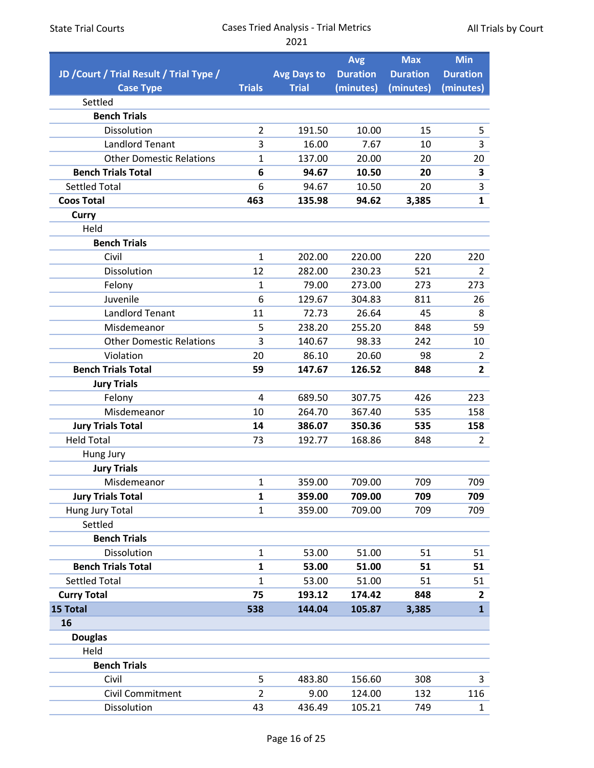| <b>State Trial Courts</b> |  |
|---------------------------|--|
|---------------------------|--|

All Trials by Court

|                                          |                |                    | <b>Avg</b>      | <b>Max</b>      | <b>Min</b>                       |
|------------------------------------------|----------------|--------------------|-----------------|-----------------|----------------------------------|
| JD / Court / Trial Result / Trial Type / |                | <b>Avg Days to</b> | <b>Duration</b> | <b>Duration</b> | <b>Duration</b>                  |
| <b>Case Type</b>                         | <b>Trials</b>  | <b>Trial</b>       | (minutes)       | (minutes)       | (minutes)                        |
| Settled                                  |                |                    |                 |                 |                                  |
| <b>Bench Trials</b>                      |                |                    |                 |                 |                                  |
| Dissolution                              | $\overline{2}$ | 191.50             | 10.00           | 15              | 5                                |
| <b>Landlord Tenant</b>                   | 3              | 16.00              | 7.67            | 10              | 3                                |
| <b>Other Domestic Relations</b>          | 1              | 137.00             | 20.00           | 20              | 20                               |
| <b>Bench Trials Total</b>                | 6              | 94.67              | 10.50           | 20              | 3                                |
| <b>Settled Total</b>                     | 6              | 94.67              | 10.50           | 20              | 3                                |
| <b>Coos Total</b>                        | 463            | 135.98             | 94.62           | 3,385           | $\mathbf{1}$                     |
| <b>Curry</b>                             |                |                    |                 |                 |                                  |
| Held                                     |                |                    |                 |                 |                                  |
| <b>Bench Trials</b>                      |                |                    |                 |                 |                                  |
| Civil                                    | $\mathbf{1}$   | 202.00             | 220.00          | 220             | 220                              |
| Dissolution                              | 12             | 282.00             | 230.23          | 521             | $\overline{2}$                   |
| Felony                                   | 1              | 79.00              | 273.00          | 273             | 273                              |
| Juvenile                                 | 6              | 129.67             | 304.83          | 811             | 26                               |
| <b>Landlord Tenant</b>                   | 11             | 72.73              | 26.64           | 45              | 8                                |
| Misdemeanor                              | 5              | 238.20             | 255.20          | 848             | 59                               |
| <b>Other Domestic Relations</b>          | 3              | 140.67             | 98.33           | 242             | 10                               |
| Violation                                | 20<br>59       | 86.10              | 20.60           | 98              | $\overline{2}$<br>$\overline{2}$ |
| <b>Bench Trials Total</b>                |                | 147.67             | 126.52          | 848             |                                  |
| <b>Jury Trials</b><br>Felony             | 4              | 689.50             | 307.75          | 426             | 223                              |
| Misdemeanor                              | 10             | 264.70             | 367.40          | 535             | 158                              |
| <b>Jury Trials Total</b>                 | 14             | 386.07             | 350.36          | 535             | 158                              |
| <b>Held Total</b>                        | 73             | 192.77             | 168.86          | 848             | $\overline{2}$                   |
| Hung Jury                                |                |                    |                 |                 |                                  |
| <b>Jury Trials</b>                       |                |                    |                 |                 |                                  |
| Misdemeanor                              | $\mathbf 1$    | 359.00             | 709.00          | 709             | 709                              |
| <b>Jury Trials Total</b>                 | $\mathbf{1}$   | 359.00             | 709.00          | 709             | 709                              |
| Hung Jury Total                          | $\mathbf 1$    | 359.00             | 709.00          | 709             | 709                              |
| Settled                                  |                |                    |                 |                 |                                  |
| <b>Bench Trials</b>                      |                |                    |                 |                 |                                  |
| Dissolution                              | $\mathbf{1}$   | 53.00              | 51.00           | 51              | 51                               |
| <b>Bench Trials Total</b>                | 1              | 53.00              | 51.00           | 51              | 51                               |
| <b>Settled Total</b>                     | 1              | 53.00              | 51.00           | 51              | 51                               |
| <b>Curry Total</b>                       | 75             | 193.12             | 174.42          | 848             | 2                                |
| 15 Total                                 | 538            | 144.04             | 105.87          | 3,385           | $\mathbf{1}$                     |
| 16                                       |                |                    |                 |                 |                                  |
| <b>Douglas</b>                           |                |                    |                 |                 |                                  |
| Held                                     |                |                    |                 |                 |                                  |
| <b>Bench Trials</b>                      |                |                    |                 |                 |                                  |
| Civil                                    | 5              | 483.80             | 156.60          | 308             | 3                                |
| Civil Commitment                         | 2              | 9.00               | 124.00          | 132             | 116                              |
| Dissolution                              | 43             | 436.49             | 105.21          | 749             | $\mathbf{1}$                     |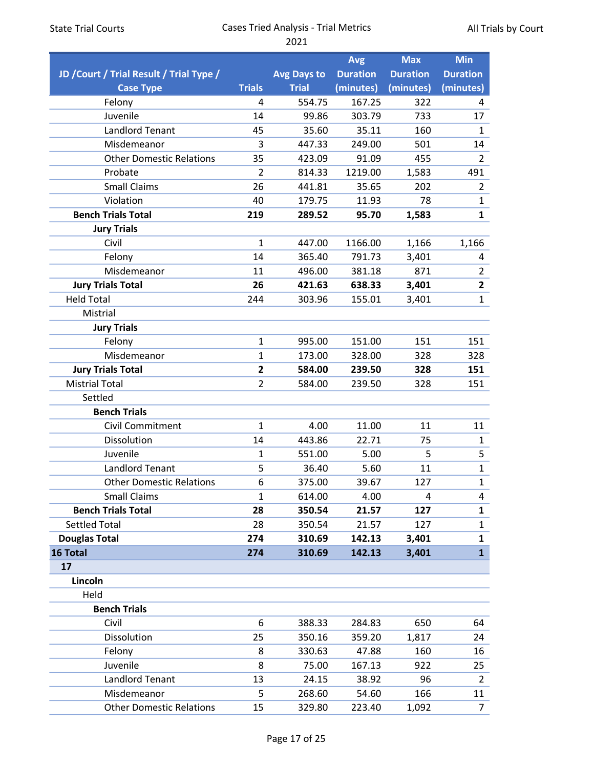|                                          |                |                    | <b>Avg</b>      | <b>Max</b>      | <b>Min</b>      |
|------------------------------------------|----------------|--------------------|-----------------|-----------------|-----------------|
| JD / Court / Trial Result / Trial Type / |                | <b>Avg Days to</b> | <b>Duration</b> | <b>Duration</b> | <b>Duration</b> |
| <b>Case Type</b>                         | <b>Trials</b>  | <b>Trial</b>       | (minutes)       | (minutes)       | (minutes)       |
| Felony                                   | 4              | 554.75             | 167.25          | 322             | 4               |
| Juvenile                                 | 14             | 99.86              | 303.79          | 733             | 17              |
| <b>Landlord Tenant</b>                   | 45             | 35.60              | 35.11           | 160             | $\mathbf{1}$    |
| Misdemeanor                              | 3              | 447.33             | 249.00          | 501             | 14              |
| <b>Other Domestic Relations</b>          | 35             | 423.09             | 91.09           | 455             | $\overline{2}$  |
| Probate                                  | $\overline{2}$ | 814.33             | 1219.00         | 1,583           | 491             |
| <b>Small Claims</b>                      | 26             | 441.81             | 35.65           | 202             | $\overline{2}$  |
| Violation                                | 40             | 179.75             | 11.93           | 78              | $\mathbf{1}$    |
| <b>Bench Trials Total</b>                | 219            | 289.52             | 95.70           | 1,583           | $\mathbf{1}$    |
| <b>Jury Trials</b>                       |                |                    |                 |                 |                 |
| Civil                                    | $\mathbf{1}$   | 447.00             | 1166.00         | 1,166           | 1,166           |
| Felony                                   | 14             | 365.40             | 791.73          | 3,401           | 4               |
| Misdemeanor                              | 11             | 496.00             | 381.18          | 871             | $\overline{2}$  |
| <b>Jury Trials Total</b>                 | 26             | 421.63             | 638.33          | 3,401           | $\overline{2}$  |
| <b>Held Total</b>                        | 244            | 303.96             | 155.01          | 3,401           | $\mathbf{1}$    |
| Mistrial                                 |                |                    |                 |                 |                 |
| <b>Jury Trials</b>                       |                |                    |                 |                 |                 |
| Felony                                   | $\mathbf{1}$   | 995.00             | 151.00          | 151             | 151             |
| Misdemeanor                              | $\mathbf{1}$   | 173.00             | 328.00          | 328             | 328             |
| <b>Jury Trials Total</b>                 | $\overline{2}$ | 584.00             | 239.50          | 328             | 151             |
| <b>Mistrial Total</b>                    | $\overline{2}$ | 584.00             | 239.50          | 328             | 151             |
| Settled                                  |                |                    |                 |                 |                 |
| <b>Bench Trials</b>                      |                |                    |                 |                 |                 |
| Civil Commitment                         | $\mathbf{1}$   | 4.00               | 11.00           | 11              | 11              |
| Dissolution                              | 14             | 443.86             | 22.71           | 75              | $\mathbf{1}$    |
| Juvenile                                 | 1              | 551.00             | 5.00            | 5               | 5               |
| <b>Landlord Tenant</b>                   | 5              | 36.40              | 5.60            | 11              | $\mathbf{1}$    |
| <b>Other Domestic Relations</b>          | 6              | 375.00             | 39.67           | 127             | $\mathbf 1$     |
| <b>Small Claims</b>                      | $\mathbf{1}$   | 614.00             | 4.00            | 4               | 4               |
| <b>Bench Trials Total</b>                | 28             | 350.54             | 21.57           | 127             | $\mathbf{1}$    |
| <b>Settled Total</b>                     | 28             | 350.54             | 21.57           | 127             | $\mathbf{1}$    |
| <b>Douglas Total</b>                     | 274            | 310.69             | 142.13          | 3,401           | 1               |
| 16 Total                                 | 274            | 310.69             | 142.13          | 3,401           | $\mathbf{1}$    |
| 17                                       |                |                    |                 |                 |                 |
| Lincoln                                  |                |                    |                 |                 |                 |
| Held                                     |                |                    |                 |                 |                 |
| <b>Bench Trials</b>                      |                |                    |                 |                 |                 |
| Civil                                    | 6              | 388.33             | 284.83          | 650             | 64              |
| Dissolution                              | 25             | 350.16             | 359.20          | 1,817           | 24              |
| Felony                                   | 8              | 330.63             | 47.88           | 160             | 16              |
| Juvenile                                 | 8              | 75.00              | 167.13          | 922             | 25              |
| <b>Landlord Tenant</b>                   | 13             | 24.15              | 38.92           | 96              | $\overline{2}$  |
| Misdemeanor                              | 5              | 268.60             | 54.60           | 166             | 11              |
| <b>Other Domestic Relations</b>          | 15             | 329.80             | 223.40          | 1,092           | $\overline{7}$  |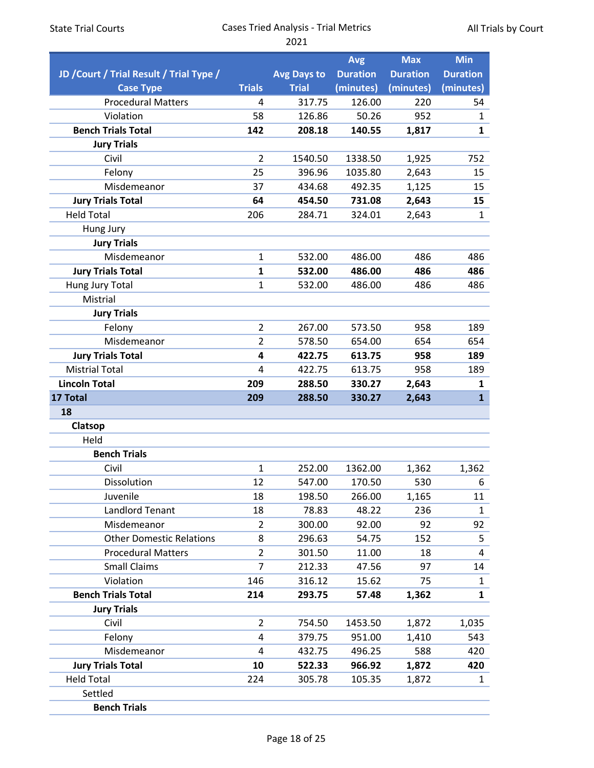|                                          |                |                    | <b>Avg</b>      | <b>Max</b>      | <b>Min</b>      |
|------------------------------------------|----------------|--------------------|-----------------|-----------------|-----------------|
| JD / Court / Trial Result / Trial Type / |                | <b>Avg Days to</b> | <b>Duration</b> | <b>Duration</b> | <b>Duration</b> |
| <b>Case Type</b>                         | <b>Trials</b>  | <b>Trial</b>       | (minutes)       | (minutes)       | (minutes)       |
| <b>Procedural Matters</b>                | 4              | 317.75             | 126.00          | 220             | 54              |
| Violation                                | 58             | 126.86             | 50.26           | 952             | 1               |
| <b>Bench Trials Total</b>                | 142            | 208.18             | 140.55          | 1,817           | $\mathbf{1}$    |
| <b>Jury Trials</b>                       |                |                    |                 |                 |                 |
| Civil                                    | $\overline{2}$ | 1540.50            | 1338.50         | 1,925           | 752             |
| Felony                                   | 25             | 396.96             | 1035.80         | 2,643           | 15              |
| Misdemeanor                              | 37             | 434.68             | 492.35          | 1,125           | 15              |
| <b>Jury Trials Total</b>                 | 64             | 454.50             | 731.08          | 2,643           | 15              |
| <b>Held Total</b>                        | 206            | 284.71             | 324.01          | 2,643           | $\mathbf{1}$    |
| Hung Jury                                |                |                    |                 |                 |                 |
| <b>Jury Trials</b>                       |                |                    |                 |                 |                 |
| Misdemeanor                              | $\mathbf{1}$   | 532.00             | 486.00          | 486             | 486             |
| <b>Jury Trials Total</b>                 | $\mathbf{1}$   | 532.00             | 486.00          | 486             | 486             |
| Hung Jury Total                          | $\mathbf{1}$   | 532.00             | 486.00          | 486             | 486             |
| Mistrial                                 |                |                    |                 |                 |                 |
| <b>Jury Trials</b>                       |                |                    |                 |                 |                 |
| Felony                                   | $\overline{2}$ | 267.00             | 573.50          | 958             | 189             |
| Misdemeanor                              | $\overline{2}$ | 578.50             | 654.00          | 654             | 654             |
| <b>Jury Trials Total</b>                 | 4              | 422.75             | 613.75          | 958             | 189             |
| <b>Mistrial Total</b>                    | 4              | 422.75             | 613.75          | 958             | 189             |
| <b>Lincoln Total</b>                     | 209            | 288.50             | 330.27          | 2,643           | 1               |
| 17 Total                                 | 209            | 288.50             | 330.27          | 2,643           | $\mathbf{1}$    |
| 18                                       |                |                    |                 |                 |                 |
| Clatsop                                  |                |                    |                 |                 |                 |
| Held                                     |                |                    |                 |                 |                 |
| <b>Bench Trials</b>                      |                |                    |                 |                 |                 |
| Civil                                    | $\mathbf{1}$   | 252.00             | 1362.00         | 1,362           | 1,362           |
| Dissolution                              | 12             | 547.00             | 170.50          | 530             | 6               |
| Juvenile                                 | 18             | 198.50             | 266.00          | 1,165           | 11              |
| <b>Landlord Tenant</b>                   | 18             | 78.83              | 48.22           | 236             | $\mathbf{1}$    |
| Misdemeanor                              | $\overline{2}$ | 300.00             | 92.00           | 92              | 92              |
| <b>Other Domestic Relations</b>          | 8              | 296.63             | 54.75           | 152             | 5               |
| <b>Procedural Matters</b>                | $\overline{2}$ | 301.50             | 11.00           | 18              | 4               |
| <b>Small Claims</b>                      | $\overline{7}$ | 212.33             | 47.56           | 97              | 14              |
| Violation                                | 146            | 316.12             | 15.62           | 75              | 1               |
| <b>Bench Trials Total</b>                | 214            | 293.75             | 57.48           | 1,362           | $\mathbf{1}$    |
| <b>Jury Trials</b>                       |                |                    |                 |                 |                 |
| Civil                                    | $\overline{2}$ | 754.50             | 1453.50         | 1,872           | 1,035           |
| Felony                                   | 4              | 379.75             | 951.00          | 1,410           | 543             |
| Misdemeanor                              | 4              | 432.75             | 496.25          | 588             | 420             |
| <b>Jury Trials Total</b>                 | 10             | 522.33             | 966.92          | 1,872           | 420             |
| <b>Held Total</b>                        | 224            | 305.78             | 105.35          | 1,872           | $\mathbf{1}$    |
| Settled                                  |                |                    |                 |                 |                 |
| <b>Bench Trials</b>                      |                |                    |                 |                 |                 |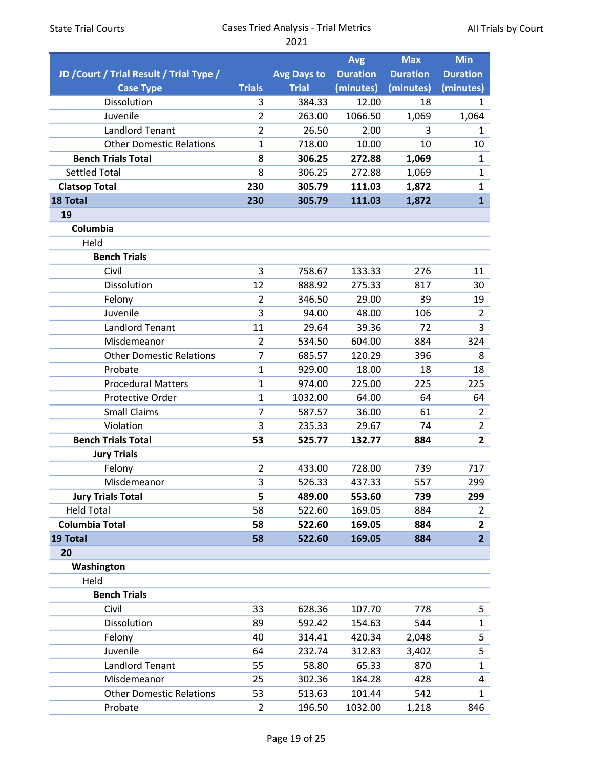|  |  |  | <b>State Trial Courts</b> |
|--|--|--|---------------------------|
|--|--|--|---------------------------|

|                                          |                |                    | <b>Avg</b>      | <b>Max</b>      | <b>Min</b>              |
|------------------------------------------|----------------|--------------------|-----------------|-----------------|-------------------------|
| JD / Court / Trial Result / Trial Type / |                | <b>Avg Days to</b> | <b>Duration</b> | <b>Duration</b> | <b>Duration</b>         |
| <b>Case Type</b>                         | <b>Trials</b>  | <b>Trial</b>       | (minutes)       | (minutes)       | (minutes)               |
| Dissolution                              | 3              | 384.33             | 12.00           | 18              | 1                       |
| Juvenile                                 | $\overline{2}$ | 263.00             | 1066.50         | 1,069           | 1,064                   |
| <b>Landlord Tenant</b>                   | $\overline{2}$ | 26.50              | 2.00            | 3               | 1                       |
| <b>Other Domestic Relations</b>          | $\mathbf{1}$   | 718.00             | 10.00           | 10              | 10                      |
| <b>Bench Trials Total</b>                | 8              | 306.25             | 272.88          | 1,069           | $\mathbf{1}$            |
| <b>Settled Total</b>                     | 8              | 306.25             | 272.88          | 1,069           | $\mathbf{1}$            |
| <b>Clatsop Total</b>                     | 230            | 305.79             | 111.03          | 1,872           | 1                       |
| 18 Total                                 | 230            | 305.79             | 111.03          | 1,872           | $\mathbf{1}$            |
| 19                                       |                |                    |                 |                 |                         |
| Columbia                                 |                |                    |                 |                 |                         |
| Held                                     |                |                    |                 |                 |                         |
| <b>Bench Trials</b>                      |                |                    |                 |                 |                         |
| Civil                                    | 3              | 758.67             | 133.33          | 276             | 11                      |
| Dissolution                              | 12             | 888.92             | 275.33          | 817             | 30                      |
| Felony                                   | $\overline{2}$ | 346.50             | 29.00           | 39              | 19                      |
| Juvenile                                 | 3              | 94.00              | 48.00           | 106             | $\overline{2}$          |
| <b>Landlord Tenant</b>                   | 11             | 29.64              | 39.36           | 72              | 3                       |
| Misdemeanor                              | $\overline{2}$ | 534.50             | 604.00          | 884             | 324                     |
| <b>Other Domestic Relations</b>          | $\overline{7}$ | 685.57             | 120.29          | 396             | 8                       |
| Probate                                  | $\mathbf{1}$   | 929.00             | 18.00           | 18              | 18                      |
| <b>Procedural Matters</b>                | $\mathbf{1}$   | 974.00             | 225.00          | 225             | 225                     |
| <b>Protective Order</b>                  | $\mathbf{1}$   | 1032.00            | 64.00           | 64              | 64                      |
| <b>Small Claims</b>                      | 7              | 587.57             | 36.00           | 61              | $\overline{2}$          |
| Violation                                | 3              | 235.33             | 29.67           | 74              | $\overline{2}$          |
| <b>Bench Trials Total</b>                | 53             | 525.77             | 132.77          | 884             | $\overline{\mathbf{2}}$ |
| <b>Jury Trials</b>                       |                |                    |                 |                 |                         |
| Felony                                   | $\overline{2}$ | 433.00             | 728.00          | 739             | 717                     |
| Misdemeanor                              | 3              | 526.33             | 437.33          | 557             | 299                     |
| <b>Jury Trials Total</b>                 | 5              | 489.00             | 553.60          | 739             | 299                     |
| <b>Held Total</b>                        | 58             | 522.60             | 169.05          | 884             | 2                       |
| <b>Columbia Total</b>                    | 58             | 522.60             | 169.05          | 884             | $\overline{\mathbf{2}}$ |
| 19 Total                                 | 58             | 522.60             | 169.05          | 884             | $\overline{2}$          |
| 20                                       |                |                    |                 |                 |                         |
| Washington                               |                |                    |                 |                 |                         |
| Held                                     |                |                    |                 |                 |                         |
| <b>Bench Trials</b>                      |                |                    |                 |                 |                         |
| Civil                                    | 33             | 628.36             | 107.70          | 778             | 5                       |
| Dissolution                              | 89             | 592.42             | 154.63          | 544             | $\mathbf{1}$            |
| Felony                                   | 40             | 314.41             | 420.34          | 2,048           | 5                       |
| Juvenile                                 | 64             | 232.74             | 312.83          | 3,402           | 5                       |
| Landlord Tenant                          | 55             | 58.80              | 65.33           | 870             | $\mathbf{1}$            |
| Misdemeanor                              | 25             | 302.36             | 184.28          | 428             | 4                       |
| <b>Other Domestic Relations</b>          | 53             | 513.63             | 101.44          | 542             | $\mathbf{1}$            |
| Probate                                  | 2              | 196.50             | 1032.00         | 1,218           | 846                     |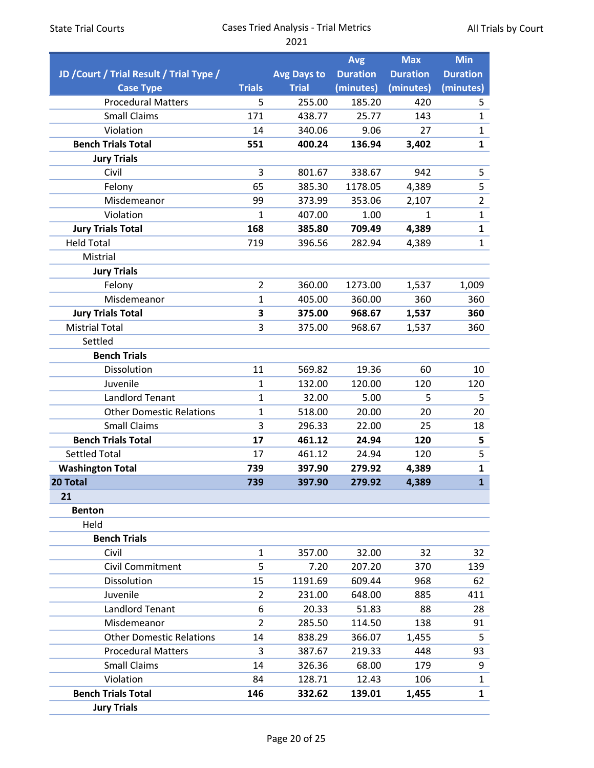|                                          |                |                    | <b>Avg</b>      | <b>Max</b>      | <b>Min</b>      |
|------------------------------------------|----------------|--------------------|-----------------|-----------------|-----------------|
| JD / Court / Trial Result / Trial Type / |                | <b>Avg Days to</b> | <b>Duration</b> | <b>Duration</b> | <b>Duration</b> |
| <b>Case Type</b>                         | <b>Trials</b>  | <b>Trial</b>       | (minutes)       | (minutes)       | (minutes)       |
| <b>Procedural Matters</b>                | 5              | 255.00             | 185.20          | 420             | 5               |
| <b>Small Claims</b>                      | 171            | 438.77             | 25.77           | 143             | $\mathbf{1}$    |
| Violation                                | 14             | 340.06             | 9.06            | 27              | $\mathbf{1}$    |
| <b>Bench Trials Total</b>                | 551            | 400.24             | 136.94          | 3,402           | $\mathbf{1}$    |
| <b>Jury Trials</b>                       |                |                    |                 |                 |                 |
| Civil                                    | 3              | 801.67             | 338.67          | 942             | 5               |
| Felony                                   | 65             | 385.30             | 1178.05         | 4,389           | 5               |
| Misdemeanor                              | 99             | 373.99             | 353.06          | 2,107           | $\overline{2}$  |
| Violation                                | 1              | 407.00             | 1.00            | $\mathbf{1}$    | $\mathbf{1}$    |
| <b>Jury Trials Total</b>                 | 168            | 385.80             | 709.49          | 4,389           | $\mathbf{1}$    |
| <b>Held Total</b>                        | 719            | 396.56             | 282.94          | 4,389           | $\mathbf{1}$    |
| Mistrial                                 |                |                    |                 |                 |                 |
| <b>Jury Trials</b>                       |                |                    |                 |                 |                 |
| Felony                                   | $\overline{2}$ | 360.00             | 1273.00         | 1,537           | 1,009           |
| Misdemeanor                              | $\mathbf{1}$   | 405.00             | 360.00          | 360             | 360             |
| <b>Jury Trials Total</b>                 | 3              | 375.00             | 968.67          | 1,537           | 360             |
| <b>Mistrial Total</b>                    | 3              | 375.00             | 968.67          | 1,537           | 360             |
| Settled                                  |                |                    |                 |                 |                 |
| <b>Bench Trials</b>                      |                |                    |                 |                 |                 |
| Dissolution                              | 11             | 569.82             | 19.36           | 60              | 10              |
| Juvenile                                 | $\mathbf{1}$   | 132.00             | 120.00          | 120             | 120             |
| <b>Landlord Tenant</b>                   | $\mathbf{1}$   | 32.00              | 5.00            | 5               | 5               |
| <b>Other Domestic Relations</b>          | $\mathbf{1}$   | 518.00             | 20.00           | 20              | 20              |
| <b>Small Claims</b>                      | 3              | 296.33             | 22.00           | 25              | 18              |
| <b>Bench Trials Total</b>                | 17             | 461.12             | 24.94           | 120             | 5               |
| <b>Settled Total</b>                     | 17             | 461.12             | 24.94           | 120             | 5               |
| <b>Washington Total</b>                  | 739            | 397.90             | 279.92          | 4,389           | $\mathbf{1}$    |
| 20 Total                                 | 739            | 397.90             | 279.92          | 4.389           | $\mathbf{1}$    |
| 21                                       |                |                    |                 |                 |                 |
| <b>Benton</b>                            |                |                    |                 |                 |                 |
| Held                                     |                |                    |                 |                 |                 |
| <b>Bench Trials</b>                      |                |                    |                 |                 |                 |
| Civil                                    | 1              | 357.00             | 32.00           | 32              | 32              |
| Civil Commitment                         | 5              | 7.20               | 207.20          | 370             | 139             |
| Dissolution                              | 15             | 1191.69            | 609.44          | 968             | 62              |
| Juvenile                                 | $\overline{2}$ | 231.00             | 648.00          | 885             | 411             |
| <b>Landlord Tenant</b>                   | 6              | 20.33              | 51.83           | 88              | 28              |
| Misdemeanor                              | $\overline{2}$ | 285.50             | 114.50          | 138             | 91              |
| <b>Other Domestic Relations</b>          | 14             | 838.29             | 366.07          | 1,455           | 5               |
| <b>Procedural Matters</b>                | 3              | 387.67             | 219.33          | 448             | 93              |
| <b>Small Claims</b>                      | 14             | 326.36             | 68.00           | 179             | 9               |
| Violation                                | 84             | 128.71             | 12.43           | 106             | 1               |
| <b>Bench Trials Total</b>                | 146            | 332.62             | 139.01          | 1,455           | $\mathbf{1}$    |
| <b>Jury Trials</b>                       |                |                    |                 |                 |                 |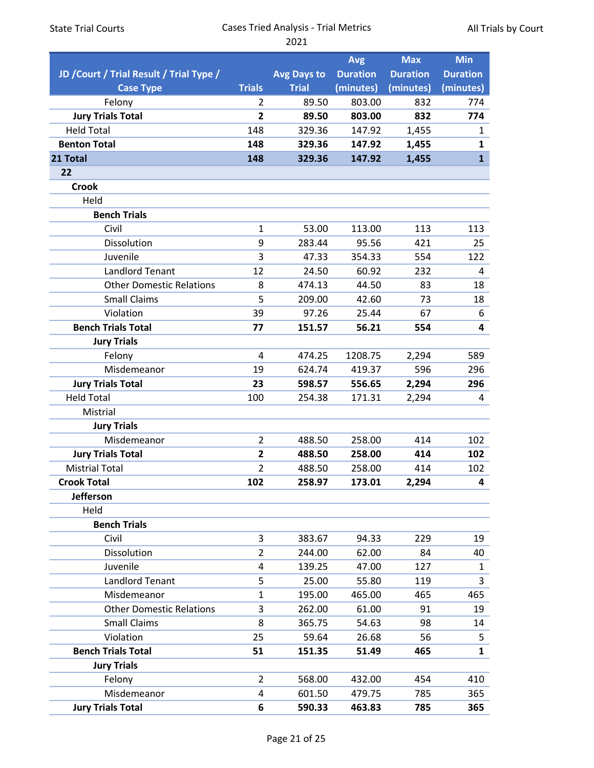| <b>State Trial Courts</b>                |                         | <b>Cases Tried Analysis - Trial Metrics</b><br>2021 | All Trials by Court |                 |                 |  |
|------------------------------------------|-------------------------|-----------------------------------------------------|---------------------|-----------------|-----------------|--|
|                                          |                         |                                                     | <b>Avg</b>          | <b>Max</b>      | <b>Min</b>      |  |
| JD / Court / Trial Result / Trial Type / |                         | <b>Avg Days to</b>                                  | <b>Duration</b>     | <b>Duration</b> | <b>Duration</b> |  |
| <b>Case Type</b>                         | <b>Trials</b>           | <b>Trial</b>                                        | (minutes)           | (minutes)       | (minutes)       |  |
| Felony                                   | $\overline{2}$          | 89.50                                               | 803.00              | 832             | 774             |  |
| <b>Jury Trials Total</b>                 | 2                       | 89.50                                               | 803.00              | 832             | 774             |  |
| <b>Held Total</b>                        | 148                     | 329.36                                              | 147.92              | 1,455           | 1               |  |
| <b>Benton Total</b>                      | 148                     | 329.36                                              | 147.92              | 1,455           | $\mathbf{1}$    |  |
| 21 Total                                 | 148                     | 329.36                                              | 147.92              | 1,455           | $\mathbf{1}$    |  |
| 22                                       |                         |                                                     |                     |                 |                 |  |
| <b>Crook</b>                             |                         |                                                     |                     |                 |                 |  |
| Held                                     |                         |                                                     |                     |                 |                 |  |
| <b>Bench Trials</b>                      |                         |                                                     |                     |                 |                 |  |
| Civil                                    | $\mathbf{1}$            | 53.00                                               | 113.00              | 113             | 113             |  |
| Dissolution                              | 9                       | 283.44                                              | 95.56               | 421             | 25              |  |
| Juvenile                                 | 3                       | 47.33                                               | 354.33              | 554             | 122             |  |
| <b>Landlord Tenant</b>                   | 12                      | 24.50                                               | 60.92               | 232             | 4               |  |
| <b>Other Domestic Relations</b>          | 8                       | 474.13                                              | 44.50               | 83              | 18              |  |
| <b>Small Claims</b>                      | 5                       | 209.00                                              | 42.60               | 73              | 18              |  |
| Violation                                | 39                      | 97.26                                               | 25.44               | 67              | 6               |  |
| <b>Bench Trials Total</b>                | 77                      | 151.57                                              | 56.21               | 554             | 4               |  |
| <b>Jury Trials</b>                       |                         |                                                     |                     |                 |                 |  |
| Felony                                   | $\overline{4}$          | 474.25                                              | 1208.75             | 2,294           | 589             |  |
| Misdemeanor                              | 19                      | 624.74                                              | 419.37              | 596             | 296             |  |
| <b>Jury Trials Total</b>                 | 23                      | 598.57                                              | 556.65              | 2,294           | 296             |  |
| <b>Held Total</b>                        | 100                     | 254.38                                              | 171.31              | 2,294           | 4               |  |
| Mistrial                                 |                         |                                                     |                     |                 |                 |  |
| <b>Jury Trials</b>                       |                         |                                                     |                     |                 |                 |  |
| Misdemeanor                              | $\overline{2}$          | 488.50                                              | 258.00              | 414             | 102             |  |
| <b>Jury Trials Total</b>                 | 2                       | 488.50                                              | 258.00              | 414             | 102             |  |
| <b>Mistrial Total</b>                    | $\overline{2}$          | 488.50                                              | 258.00              | 414             | 102             |  |
| <b>Crook Total</b>                       | 102                     | 258.97                                              | 173.01              | 2,294           | 4               |  |
| Jefferson                                |                         |                                                     |                     |                 |                 |  |
| Held                                     |                         |                                                     |                     |                 |                 |  |
| <b>Bench Trials</b>                      |                         |                                                     |                     |                 |                 |  |
| Civil                                    | 3                       | 383.67                                              | 94.33               | 229             | 19              |  |
| Dissolution                              | $\overline{2}$          | 244.00                                              | 62.00               | 84              | 40              |  |
| Juvenile                                 | 4                       | 139.25                                              | 47.00               | 127             | $\mathbf{1}$    |  |
| <b>Landlord Tenant</b>                   | 5                       | 25.00                                               | 55.80               | 119             | $\overline{3}$  |  |
| Misdemeanor                              | $\mathbf{1}$            | 195.00                                              | 465.00              | 465             | 465             |  |
| <b>Other Domestic Relations</b>          | 3                       | 262.00                                              | 61.00               | 91              | 19              |  |
| <b>Small Claims</b>                      | 8                       | 365.75                                              | 54.63               | 98              | 14              |  |
| Violation                                | 25                      | 59.64                                               | 26.68               | 56              | 5               |  |
| <b>Bench Trials Total</b>                | 51                      | 151.35                                              | 51.49               | 465             | $\mathbf{1}$    |  |
| <b>Jury Trials</b>                       | $\overline{2}$          |                                                     |                     | 454             |                 |  |
| Felony<br>Misdemeanor                    | $\overline{\mathbf{4}}$ | 568.00                                              | 432.00              |                 | 410<br>365      |  |
| <b>Jury Trials Total</b>                 | 6                       | 601.50<br>590.33                                    | 479.75<br>463.83    | 785<br>785      | 365             |  |
|                                          |                         |                                                     |                     |                 |                 |  |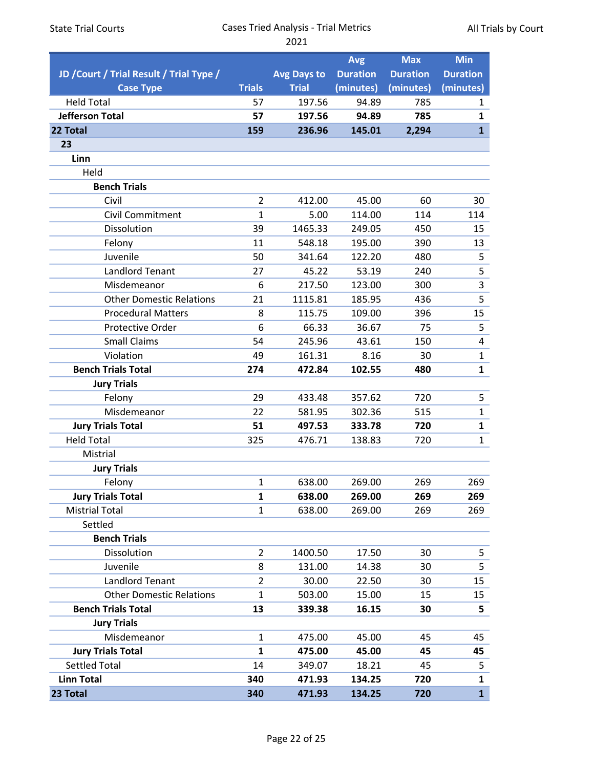| <b>State Trial Courts</b>                                    | <b>Cases Tried Analysis - Trial Metrics</b><br>2021 |                                    |                                            |                                            | All Trials by Court                        |  |  |
|--------------------------------------------------------------|-----------------------------------------------------|------------------------------------|--------------------------------------------|--------------------------------------------|--------------------------------------------|--|--|
| JD / Court / Trial Result / Trial Type /<br><b>Case Type</b> | <b>Trials</b>                                       | <b>Avg Days to</b><br><b>Trial</b> | <b>Avg</b><br><b>Duration</b><br>(minutes) | <b>Max</b><br><b>Duration</b><br>(minutes) | <b>Min</b><br><b>Duration</b><br>(minutes) |  |  |
| <b>Held Total</b>                                            | 57                                                  | 197.56                             | 94.89                                      | 785                                        | $\mathbf{1}$                               |  |  |
| <b>Jefferson Total</b>                                       | 57                                                  | 197.56                             | 94.89                                      | 785                                        | $\mathbf{1}$                               |  |  |
| 22 Total                                                     | 159                                                 | 236.96                             | 145.01                                     | 2,294                                      | $\mathbf{1}$                               |  |  |
| 23                                                           |                                                     |                                    |                                            |                                            |                                            |  |  |
| Linn                                                         |                                                     |                                    |                                            |                                            |                                            |  |  |
| Held                                                         |                                                     |                                    |                                            |                                            |                                            |  |  |
| <b>Bench Trials</b>                                          |                                                     |                                    |                                            |                                            |                                            |  |  |
| Civil                                                        | $\overline{2}$                                      | 412.00                             | 45.00                                      | 60                                         | 30                                         |  |  |
| Civil Commitment                                             | $\mathbf{1}$                                        | 5.00                               | 114.00                                     | 114                                        | 114                                        |  |  |
| Dissolution                                                  | 39                                                  | 1465.33                            | 249.05                                     | 450                                        | 15                                         |  |  |
| Felony                                                       | 11                                                  | 548.18                             | 195.00                                     | 390                                        | 13                                         |  |  |
| Juvenile                                                     | 50                                                  | 341.64                             | 122.20                                     | 480                                        | 5                                          |  |  |
| <b>Landlord Tenant</b>                                       | 27                                                  | 45.22                              | 53.19                                      | 240                                        | 5                                          |  |  |
| Misdemeanor                                                  | 6                                                   | 217.50                             | 123.00                                     | 300                                        | $\mathsf{3}$                               |  |  |
| <b>Other Domestic Relations</b>                              | 21                                                  | 1115.81                            | 185.95                                     | 436                                        | $\overline{5}$                             |  |  |
| <b>Procedural Matters</b>                                    | 8                                                   | 115.75                             | 109.00                                     | 396                                        | 15                                         |  |  |
| <b>Protective Order</b>                                      | 6                                                   | 66.33                              | 36.67                                      | 75                                         | 5                                          |  |  |
| <b>Small Claims</b>                                          | 54                                                  | 245.96                             | 43.61                                      | 150                                        | $\overline{\mathbf{4}}$                    |  |  |
| Violation                                                    | 49                                                  | 161.31                             | 8.16                                       | 30                                         | $\mathbf{1}$                               |  |  |
| <b>Bench Trials Total</b>                                    | 274                                                 | 472.84                             | 102.55                                     | 480                                        | $\mathbf{1}$                               |  |  |
| <b>Jury Trials</b>                                           |                                                     |                                    |                                            |                                            |                                            |  |  |
| Felony                                                       | 29                                                  | 433.48                             | 357.62                                     | 720                                        | 5                                          |  |  |
| Misdemeanor                                                  | 22                                                  | 581.95                             | 302.36                                     | 515                                        | $\mathbf{1}$                               |  |  |
| <b>Jury Trials Total</b>                                     | 51                                                  | 497.53                             | 333.78                                     | 720                                        | $\mathbf{1}$                               |  |  |
| <b>Held Total</b>                                            | 325                                                 | 476.71                             | 138.83                                     | 720                                        | $\mathbf{1}$                               |  |  |
| Mistrial                                                     |                                                     |                                    |                                            |                                            |                                            |  |  |
| <b>Jury Trials</b>                                           |                                                     |                                    |                                            |                                            |                                            |  |  |
| Felony                                                       | $\mathbf{1}$                                        | 638.00                             | 269.00                                     | 269                                        | 269                                        |  |  |
| <b>Jury Trials Total</b>                                     | $\mathbf{1}$                                        | 638.00                             | 269.00                                     | 269                                        | 269                                        |  |  |
| <b>Mistrial Total</b>                                        | $\mathbf{1}$                                        | 638.00                             | 269.00                                     | 269                                        | 269                                        |  |  |
| Settled                                                      |                                                     |                                    |                                            |                                            |                                            |  |  |
| <b>Bench Trials</b>                                          |                                                     |                                    |                                            |                                            |                                            |  |  |
| Dissolution                                                  | $\overline{2}$                                      | 1400.50                            | 17.50                                      | 30                                         | 5                                          |  |  |
| Juvenile                                                     | 8                                                   | 131.00                             | 14.38                                      | 30                                         | 5                                          |  |  |
| <b>Landlord Tenant</b>                                       | $\overline{2}$                                      | 30.00                              | 22.50                                      | 30                                         | 15                                         |  |  |
| <b>Other Domestic Relations</b>                              | 1                                                   | 503.00                             | 15.00                                      | 15                                         | 15                                         |  |  |
| <b>Bench Trials Total</b>                                    | 13                                                  | 339.38                             | 16.15                                      | 30                                         | 5                                          |  |  |
| <b>Jury Trials</b>                                           |                                                     |                                    |                                            |                                            |                                            |  |  |
| Misdemeanor                                                  | $\mathbf{1}$                                        | 475.00                             | 45.00                                      | 45                                         | 45                                         |  |  |
| <b>Jury Trials Total</b>                                     | $\mathbf{1}$                                        | 475.00                             | 45.00                                      | 45                                         | 45                                         |  |  |
| <b>Settled Total</b>                                         | 14                                                  | 349.07                             | 18.21                                      | 45                                         | 5                                          |  |  |
| <b>Linn Total</b>                                            | 340                                                 | 471.93                             | 134.25                                     | 720                                        | $\mathbf{1}$                               |  |  |
| 23 Total                                                     | 340                                                 | 471.93                             | 134.25                                     | 720                                        | $\mathbf{1}$                               |  |  |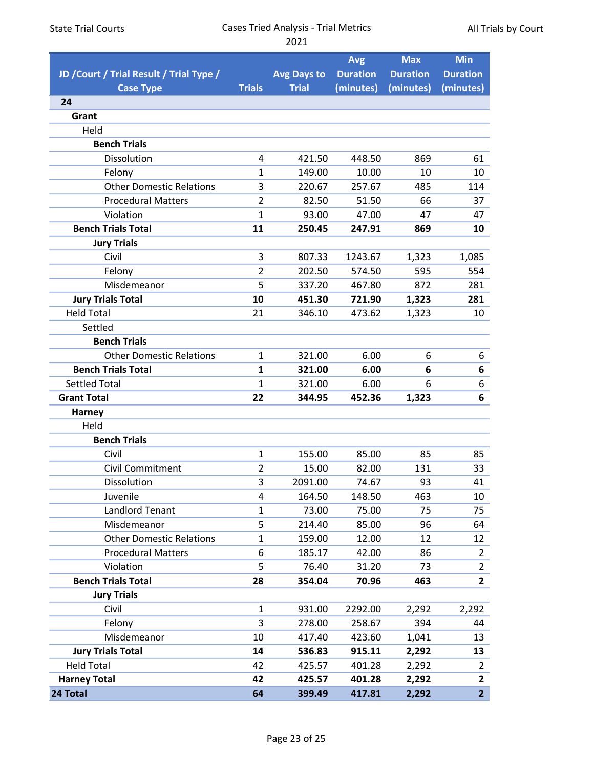|                                          |                |                    | <b>Avg</b>      | <b>Max</b>      | <b>Min</b>              |
|------------------------------------------|----------------|--------------------|-----------------|-----------------|-------------------------|
| JD / Court / Trial Result / Trial Type / |                | <b>Avg Days to</b> | <b>Duration</b> | <b>Duration</b> | <b>Duration</b>         |
| <b>Case Type</b>                         | <b>Trials</b>  | <b>Trial</b>       | (minutes)       | (minutes)       | (minutes)               |
| 24                                       |                |                    |                 |                 |                         |
| Grant                                    |                |                    |                 |                 |                         |
| Held                                     |                |                    |                 |                 |                         |
| <b>Bench Trials</b>                      |                |                    |                 |                 |                         |
| Dissolution                              | 4              | 421.50             | 448.50          | 869             | 61                      |
| Felony                                   | 1              | 149.00             | 10.00           | 10              | 10                      |
| <b>Other Domestic Relations</b>          | 3              | 220.67             | 257.67          | 485             | 114                     |
| <b>Procedural Matters</b>                | $\overline{2}$ | 82.50              | 51.50           | 66              | 37                      |
| Violation                                | $\mathbf{1}$   | 93.00              | 47.00           | 47              | 47                      |
| <b>Bench Trials Total</b>                | 11             | 250.45             | 247.91          | 869             | 10                      |
| <b>Jury Trials</b>                       |                |                    |                 |                 |                         |
| Civil                                    | 3              | 807.33             | 1243.67         | 1,323           | 1,085                   |
| Felony                                   | $\overline{2}$ | 202.50             | 574.50          | 595             | 554                     |
| Misdemeanor                              | 5              | 337.20             | 467.80          | 872             | 281                     |
| <b>Jury Trials Total</b>                 | 10             | 451.30             | 721.90          | 1,323           | 281                     |
| <b>Held Total</b>                        | 21             | 346.10             | 473.62          | 1,323           | 10                      |
| Settled                                  |                |                    |                 |                 |                         |
| <b>Bench Trials</b>                      |                |                    |                 |                 |                         |
| <b>Other Domestic Relations</b>          | $\mathbf{1}$   | 321.00             | 6.00            | 6               | 6                       |
| <b>Bench Trials Total</b>                | 1              | 321.00             | 6.00            | 6               | 6                       |
| <b>Settled Total</b>                     | $\mathbf{1}$   | 321.00             | 6.00            | 6               | 6                       |
| <b>Grant Total</b>                       | 22             | 344.95             | 452.36          | 1,323           | 6                       |
| <b>Harney</b>                            |                |                    |                 |                 |                         |
| Held                                     |                |                    |                 |                 |                         |
| <b>Bench Trials</b>                      |                |                    |                 |                 |                         |
| Civil                                    | $\mathbf{1}$   | 155.00             | 85.00           | 85              | 85                      |
| Civil Commitment                         | $\overline{2}$ | 15.00              | 82.00           | 131             | 33                      |
| Dissolution                              | 3              | 2091.00            | 74.67           | 93              | 41                      |
| Juvenile                                 | 4              | 164.50             | 148.50          | 463             | 10                      |
| <b>Landlord Tenant</b>                   | $\mathbf{1}$   | 73.00              | 75.00           | 75              | 75                      |
| Misdemeanor                              | 5              | 214.40             | 85.00           | 96              | 64                      |
| <b>Other Domestic Relations</b>          | $\mathbf{1}$   | 159.00             | 12.00           | 12              | 12                      |
| <b>Procedural Matters</b>                | 6              | 185.17             | 42.00           | 86              | 2                       |
| Violation                                | 5              | 76.40              | 31.20           | 73              | $\overline{2}$          |
| <b>Bench Trials Total</b>                | 28             | 354.04             | 70.96           | 463             | $\overline{2}$          |
| <b>Jury Trials</b>                       |                |                    |                 |                 |                         |
| Civil                                    | $\mathbf{1}$   | 931.00             | 2292.00         | 2,292           | 2,292                   |
| Felony                                   | 3              | 278.00             | 258.67          | 394             | 44                      |
| Misdemeanor                              | 10             | 417.40             | 423.60          | 1,041           | 13                      |
| <b>Jury Trials Total</b>                 | 14             | 536.83             | 915.11          | 2,292           | 13                      |
| <b>Held Total</b>                        | 42             | 425.57             | 401.28          | 2,292           | $\overline{2}$          |
| <b>Harney Total</b>                      | 42             | 425.57             | 401.28          | 2,292           | $\overline{\mathbf{2}}$ |
| 24 Total                                 | 64             | 399.49             | 417.81          | 2,292           | $\overline{2}$          |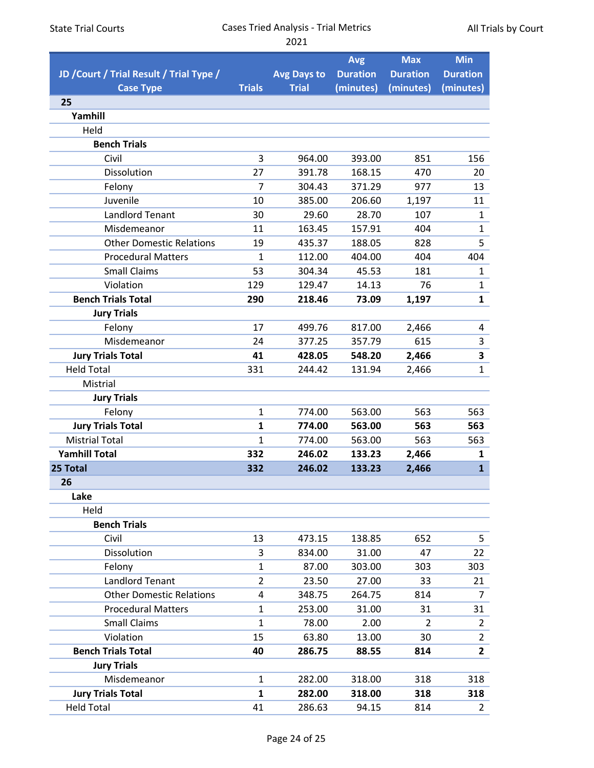|                                          |                |                    | <b>Avg</b>      | <b>Max</b>      | <b>Min</b>      |
|------------------------------------------|----------------|--------------------|-----------------|-----------------|-----------------|
| JD / Court / Trial Result / Trial Type / |                | <b>Avg Days to</b> | <b>Duration</b> | <b>Duration</b> | <b>Duration</b> |
| <b>Case Type</b>                         | <b>Trials</b>  | <b>Trial</b>       | (minutes)       | (minutes)       | (minutes)       |
| 25                                       |                |                    |                 |                 |                 |
| Yamhill                                  |                |                    |                 |                 |                 |
| Held                                     |                |                    |                 |                 |                 |
| <b>Bench Trials</b>                      |                |                    |                 |                 |                 |
| Civil                                    | 3              | 964.00             | 393.00          | 851             | 156             |
| Dissolution                              | 27             | 391.78             | 168.15          | 470             | 20              |
| Felony                                   | $\overline{7}$ | 304.43             | 371.29          | 977             | 13              |
| Juvenile                                 | 10             | 385.00             | 206.60          | 1,197           | 11              |
| <b>Landlord Tenant</b>                   | 30             | 29.60              | 28.70           | 107             | $\mathbf{1}$    |
| Misdemeanor                              | 11             | 163.45             | 157.91          | 404             | $\mathbf{1}$    |
| <b>Other Domestic Relations</b>          | 19             | 435.37             | 188.05          | 828             | 5               |
| <b>Procedural Matters</b>                | $\mathbf{1}$   | 112.00             | 404.00          | 404             | 404             |
| <b>Small Claims</b>                      | 53             | 304.34             | 45.53           | 181             | $\mathbf{1}$    |
| Violation                                | 129            | 129.47             | 14.13           | 76              | $\mathbf{1}$    |
| <b>Bench Trials Total</b>                | 290            | 218.46             | 73.09           | 1,197           | $\mathbf{1}$    |
| <b>Jury Trials</b>                       |                |                    |                 |                 |                 |
| Felony                                   | 17             | 499.76             | 817.00          | 2,466           | 4               |
| Misdemeanor                              | 24             | 377.25             | 357.79          | 615             | 3               |
| <b>Jury Trials Total</b>                 | 41             | 428.05             | 548.20          | 2,466           | 3               |
| <b>Held Total</b>                        | 331            | 244.42             | 131.94          | 2,466           | $\mathbf{1}$    |
| Mistrial                                 |                |                    |                 |                 |                 |
| <b>Jury Trials</b>                       |                |                    |                 |                 |                 |
| Felony                                   | $\mathbf{1}$   | 774.00             | 563.00          | 563             | 563             |
| <b>Jury Trials Total</b>                 | $\mathbf{1}$   | 774.00             | 563.00          | 563             | 563             |
| <b>Mistrial Total</b>                    | $\mathbf{1}$   | 774.00             | 563.00          | 563             | 563             |
| <b>Yamhill Total</b>                     | 332            | 246.02             | 133.23          | 2,466           | 1               |
| 25 Total                                 | 332            | 246.02             | 133.23          | 2,466           | $\mathbf{1}$    |
| 26                                       |                |                    |                 |                 |                 |
| Lake                                     |                |                    |                 |                 |                 |
| Held                                     |                |                    |                 |                 |                 |
| <b>Bench Trials</b>                      |                |                    |                 |                 |                 |
| Civil                                    | 13             | 473.15             | 138.85          | 652             | 5               |
| Dissolution                              | 3              | 834.00             | 31.00           | 47              | 22              |
| Felony                                   | $\mathbf{1}$   | 87.00              | 303.00          | 303             | 303             |
| <b>Landlord Tenant</b>                   | $\overline{2}$ | 23.50              | 27.00           | 33              | 21              |
| <b>Other Domestic Relations</b>          | 4              | 348.75             | 264.75          | 814             | $\overline{7}$  |
| <b>Procedural Matters</b>                | $\mathbf{1}$   | 253.00             | 31.00           | 31              | 31              |
| <b>Small Claims</b>                      | $\mathbf{1}$   | 78.00              | 2.00            | $\overline{2}$  | $\overline{2}$  |
| Violation                                | 15             | 63.80              | 13.00           | 30              | $\overline{2}$  |
| <b>Bench Trials Total</b>                | 40             | 286.75             | 88.55           | 814             | $\overline{2}$  |
| <b>Jury Trials</b>                       |                |                    |                 |                 |                 |
| Misdemeanor                              | $\mathbf{1}$   | 282.00             | 318.00          | 318             | 318             |
| <b>Jury Trials Total</b>                 | $\mathbf{1}$   | 282.00             | 318.00          | 318             | 318             |
| <b>Held Total</b>                        | 41             | 286.63             | 94.15           | 814             | $\overline{2}$  |